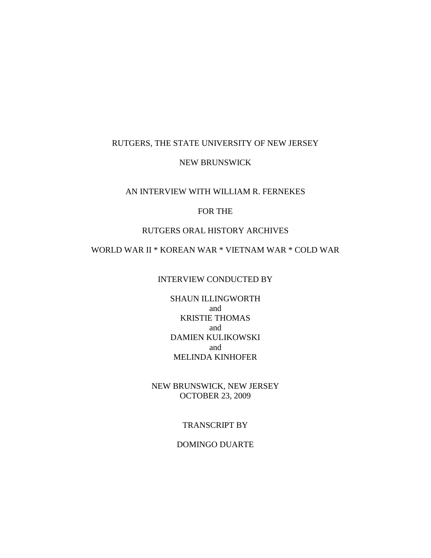## RUTGERS, THE STATE UNIVERSITY OF NEW JERSEY

## NEW BRUNSWICK

## AN INTERVIEW WITH WILLIAM R. FERNEKES

## FOR THE

## RUTGERS ORAL HISTORY ARCHIVES

WORLD WAR II \* KOREAN WAR \* VIETNAM WAR \* COLD WAR

#### INTERVIEW CONDUCTED BY

SHAUN ILLINGWORTH and KRISTIE THOMAS and DAMIEN KULIKOWSKI and MELINDA KINHOFER

NEW BRUNSWICK, NEW JERSEY OCTOBER 23, 2009

### TRANSCRIPT BY

#### DOMINGO DUARTE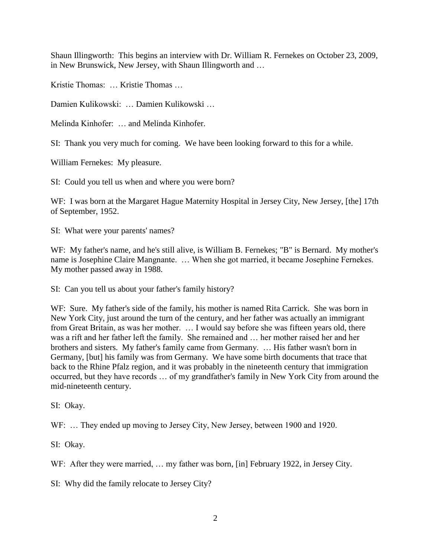Shaun Illingworth: This begins an interview with Dr. William R. Fernekes on October 23, 2009, in New Brunswick, New Jersey, with Shaun Illingworth and …

Kristie Thomas: … Kristie Thomas …

Damien Kulikowski: … Damien Kulikowski …

Melinda Kinhofer: … and Melinda Kinhofer.

SI: Thank you very much for coming. We have been looking forward to this for a while.

William Fernekes: My pleasure.

SI: Could you tell us when and where you were born?

WF: I was born at the Margaret Hague Maternity Hospital in Jersey City, New Jersey, [the] 17th of September, 1952.

SI: What were your parents' names?

WF: My father's name, and he's still alive, is William B. Fernekes; "B" is Bernard. My mother's name is Josephine Claire Mangnante. … When she got married, it became Josephine Fernekes. My mother passed away in 1988.

SI: Can you tell us about your father's family history?

WF: Sure. My father's side of the family, his mother is named Rita Carrick. She was born in New York City, just around the turn of the century, and her father was actually an immigrant from Great Britain, as was her mother. … I would say before she was fifteen years old, there was a rift and her father left the family. She remained and … her mother raised her and her brothers and sisters. My father's family came from Germany. … His father wasn't born in Germany, [but] his family was from Germany. We have some birth documents that trace that back to the Rhine Pfalz region, and it was probably in the nineteenth century that immigration occurred, but they have records … of my grandfather's family in New York City from around the mid-nineteenth century.

SI: Okay.

WF: ... They ended up moving to Jersey City, New Jersey, between 1900 and 1920.

SI: Okay.

WF: After they were married, ... my father was born, [in] February 1922, in Jersey City.

SI: Why did the family relocate to Jersey City?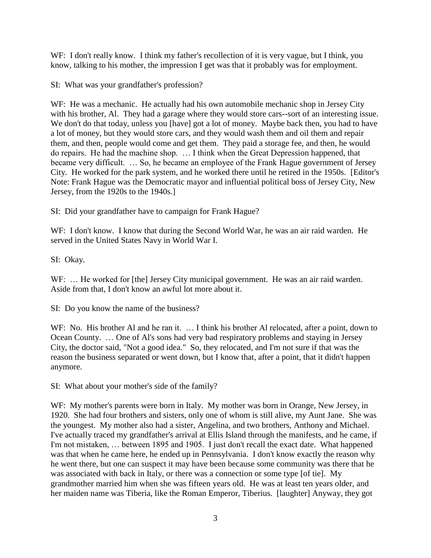WF: I don't really know. I think my father's recollection of it is very vague, but I think, you know, talking to his mother, the impression I get was that it probably was for employment.

SI: What was your grandfather's profession?

WF: He was a mechanic. He actually had his own automobile mechanic shop in Jersey City with his brother, Al. They had a garage where they would store cars--sort of an interesting issue. We don't do that today, unless you [have] got a lot of money. Maybe back then, you had to have a lot of money, but they would store cars, and they would wash them and oil them and repair them, and then, people would come and get them. They paid a storage fee, and then, he would do repairs. He had the machine shop. … I think when the Great Depression happened, that became very difficult. … So, he became an employee of the Frank Hague government of Jersey City. He worked for the park system, and he worked there until he retired in the 1950s. [Editor's Note: Frank Hague was the Democratic mayor and influential political boss of Jersey City, New Jersey, from the 1920s to the 1940s.]

SI: Did your grandfather have to campaign for Frank Hague?

WF: I don't know. I know that during the Second World War, he was an air raid warden. He served in the United States Navy in World War I.

SI: Okay.

WF: ... He worked for [the] Jersey City municipal government. He was an air raid warden. Aside from that, I don't know an awful lot more about it.

SI: Do you know the name of the business?

WF: No. His brother Al and he ran it. ... I think his brother Al relocated, after a point, down to Ocean County. … One of Al's sons had very bad respiratory problems and staying in Jersey City, the doctor said, "Not a good idea." So, they relocated, and I'm not sure if that was the reason the business separated or went down, but I know that, after a point, that it didn't happen anymore.

SI: What about your mother's side of the family?

WF: My mother's parents were born in Italy. My mother was born in Orange, New Jersey, in 1920. She had four brothers and sisters, only one of whom is still alive, my Aunt Jane. She was the youngest. My mother also had a sister, Angelina, and two brothers, Anthony and Michael. I've actually traced my grandfather's arrival at Ellis Island through the manifests, and he came, if I'm not mistaken, … between 1895 and 1905. I just don't recall the exact date. What happened was that when he came here, he ended up in Pennsylvania. I don't know exactly the reason why he went there, but one can suspect it may have been because some community was there that he was associated with back in Italy, or there was a connection or some type [of tie]. My grandmother married him when she was fifteen years old. He was at least ten years older, and her maiden name was Tiberia, like the Roman Emperor, Tiberius. [laughter] Anyway, they got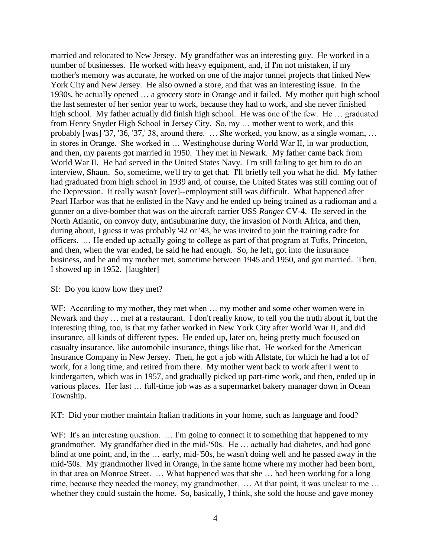married and relocated to New Jersey. My grandfather was an interesting guy. He worked in a number of businesses. He worked with heavy equipment, and, if I'm not mistaken, if my mother's memory was accurate, he worked on one of the major tunnel projects that linked New York City and New Jersey. He also owned a store, and that was an interesting issue. In the 1930s, he actually opened … a grocery store in Orange and it failed. My mother quit high school the last semester of her senior year to work, because they had to work, and she never finished high school. My father actually did finish high school. He was one of the few. He ... graduated from Henry Snyder High School in Jersey City. So, my … mother went to work, and this probably [was] '37, '36, '37,' 38, around there. … She worked, you know, as a single woman, … in stores in Orange. She worked in … Westinghouse during World War II, in war production, and then, my parents got married in 1950. They met in Newark. My father came back from World War II. He had served in the United States Navy. I'm still failing to get him to do an interview, Shaun. So, sometime, we'll try to get that. I'll briefly tell you what he did. My father had graduated from high school in 1939 and, of course, the United States was still coming out of the Depression. It really wasn't [over]--employment still was difficult. What happened after Pearl Harbor was that he enlisted in the Navy and he ended up being trained as a radioman and a gunner on a dive-bomber that was on the aircraft carrier USS *Ranger* CV-4. He served in the North Atlantic, on convoy duty, antisubmarine duty, the invasion of North Africa, and then, during about, I guess it was probably '42 or '43, he was invited to join the training cadre for officers. … He ended up actually going to college as part of that program at Tufts, Princeton, and then, when the war ended, he said he had enough. So, he left, got into the insurance business, and he and my mother met, sometime between 1945 and 1950, and got married. Then, I showed up in 1952. [laughter]

## SI: Do you know how they met?

WF: According to my mother, they met when ... my mother and some other women were in Newark and they … met at a restaurant. I don't really know, to tell you the truth about it, but the interesting thing, too, is that my father worked in New York City after World War II, and did insurance, all kinds of different types. He ended up, later on, being pretty much focused on casualty insurance, like automobile insurance, things like that. He worked for the American Insurance Company in New Jersey. Then, he got a job with Allstate, for which he had a lot of work, for a long time, and retired from there. My mother went back to work after I went to kindergarten, which was in 1957, and gradually picked up part-time work, and then, ended up in various places. Her last … full-time job was as a supermarket bakery manager down in Ocean Township.

### KT: Did your mother maintain Italian traditions in your home, such as language and food?

WF: It's an interesting question. ... I'm going to connect it to something that happened to my grandmother. My grandfather died in the mid-'50s. He … actually had diabetes, and had gone blind at one point, and, in the … early, mid-'50s, he wasn't doing well and he passed away in the mid-'50s. My grandmother lived in Orange, in the same home where my mother had been born, in that area on Monroe Street. … What happened was that she … had been working for a long time, because they needed the money, my grandmother. ... At that point, it was unclear to me ... whether they could sustain the home. So, basically, I think, she sold the house and gave money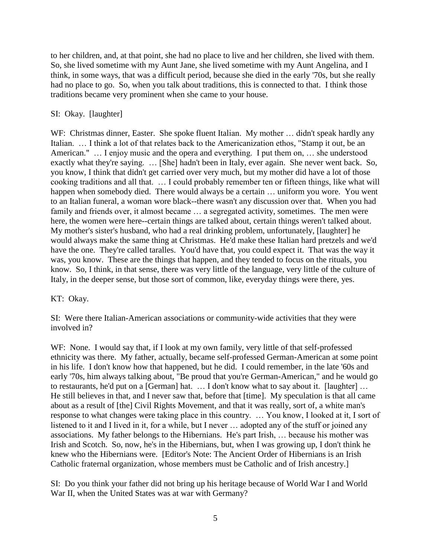to her children, and, at that point, she had no place to live and her children, she lived with them. So, she lived sometime with my Aunt Jane, she lived sometime with my Aunt Angelina, and I think, in some ways, that was a difficult period, because she died in the early '70s, but she really had no place to go. So, when you talk about traditions, this is connected to that. I think those traditions became very prominent when she came to your house.

## SI: Okay. [laughter]

WF: Christmas dinner, Easter. She spoke fluent Italian. My mother ... didn't speak hardly any Italian. … I think a lot of that relates back to the Americanization ethos, "Stamp it out, be an American." … I enjoy music and the opera and everything. I put them on, … she understood exactly what they're saying. … [She] hadn't been in Italy, ever again. She never went back. So, you know, I think that didn't get carried over very much, but my mother did have a lot of those cooking traditions and all that. … I could probably remember ten or fifteen things, like what will happen when somebody died. There would always be a certain ... uniform you wore. You went to an Italian funeral, a woman wore black--there wasn't any discussion over that. When you had family and friends over, it almost became ... a segregated activity, sometimes. The men were here, the women were here--certain things are talked about, certain things weren't talked about. My mother's sister's husband, who had a real drinking problem, unfortunately, [laughter] he would always make the same thing at Christmas. He'd make these Italian hard pretzels and we'd have the one. They're called taralles. You'd have that, you could expect it. That was the way it was, you know. These are the things that happen, and they tended to focus on the rituals, you know. So, I think, in that sense, there was very little of the language, very little of the culture of Italy, in the deeper sense, but those sort of common, like, everyday things were there, yes.

## KT: Okay.

SI: Were there Italian-American associations or community-wide activities that they were involved in?

WF: None. I would say that, if I look at my own family, very little of that self-professed ethnicity was there. My father, actually, became self-professed German-American at some point in his life. I don't know how that happened, but he did. I could remember, in the late '60s and early '70s, him always talking about, "Be proud that you're German-American," and he would go to restaurants, he'd put on a [German] hat. … I don't know what to say about it. [laughter] … He still believes in that, and I never saw that, before that [time]. My speculation is that all came about as a result of [the] Civil Rights Movement, and that it was really, sort of, a white man's response to what changes were taking place in this country. … You know, I looked at it, I sort of listened to it and I lived in it, for a while, but I never … adopted any of the stuff or joined any associations. My father belongs to the Hibernians. He's part Irish, … because his mother was Irish and Scotch. So, now, he's in the Hibernians, but, when I was growing up, I don't think he knew who the Hibernians were. [Editor's Note: The Ancient Order of Hibernians is an Irish Catholic fraternal organization, whose members must be Catholic and of Irish ancestry.]

SI: Do you think your father did not bring up his heritage because of World War I and World War II, when the United States was at war with Germany?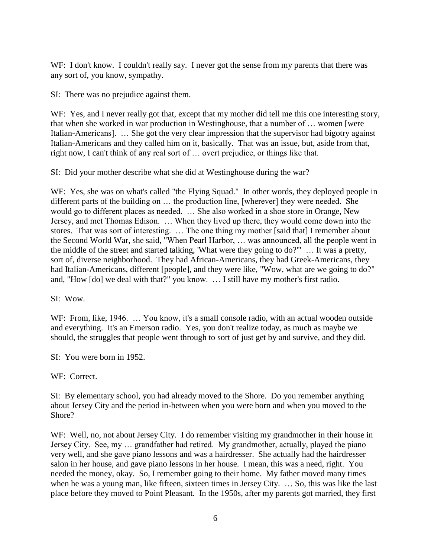WF: I don't know. I couldn't really say. I never got the sense from my parents that there was any sort of, you know, sympathy.

SI: There was no prejudice against them.

WF: Yes, and I never really got that, except that my mother did tell me this one interesting story, that when she worked in war production in Westinghouse, that a number of … women [were Italian-Americans]. … She got the very clear impression that the supervisor had bigotry against Italian-Americans and they called him on it, basically. That was an issue, but, aside from that, right now, I can't think of any real sort of … overt prejudice, or things like that.

SI: Did your mother describe what she did at Westinghouse during the war?

WF: Yes, she was on what's called "the Flying Squad." In other words, they deployed people in different parts of the building on … the production line, [wherever] they were needed. She would go to different places as needed. … She also worked in a shoe store in Orange, New Jersey, and met Thomas Edison. … When they lived up there, they would come down into the stores. That was sort of interesting. … The one thing my mother [said that] I remember about the Second World War, she said, "When Pearl Harbor, … was announced, all the people went in the middle of the street and started talking, 'What were they going to do?'" … It was a pretty, sort of, diverse neighborhood. They had African-Americans, they had Greek-Americans, they had Italian-Americans, different [people], and they were like, "Wow, what are we going to do?" and, "How [do] we deal with that?" you know. … I still have my mother's first radio.

SI: Wow.

WF: From, like, 1946. ... You know, it's a small console radio, with an actual wooden outside and everything. It's an Emerson radio. Yes, you don't realize today, as much as maybe we should, the struggles that people went through to sort of just get by and survive, and they did.

SI: You were born in 1952.

WF: Correct.

SI: By elementary school, you had already moved to the Shore. Do you remember anything about Jersey City and the period in-between when you were born and when you moved to the Shore?

WF: Well, no, not about Jersey City. I do remember visiting my grandmother in their house in Jersey City. See, my … grandfather had retired. My grandmother, actually, played the piano very well, and she gave piano lessons and was a hairdresser. She actually had the hairdresser salon in her house, and gave piano lessons in her house. I mean, this was a need, right. You needed the money, okay. So, I remember going to their home. My father moved many times when he was a young man, like fifteen, sixteen times in Jersey City. … So, this was like the last place before they moved to Point Pleasant. In the 1950s, after my parents got married, they first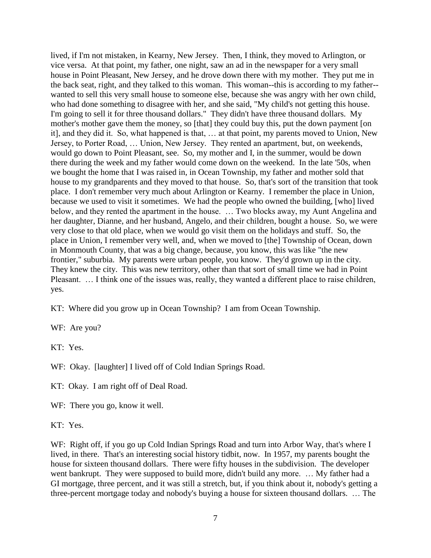lived, if I'm not mistaken, in Kearny, New Jersey. Then, I think, they moved to Arlington, or vice versa. At that point, my father, one night, saw an ad in the newspaper for a very small house in Point Pleasant, New Jersey, and he drove down there with my mother. They put me in the back seat, right, and they talked to this woman. This woman--this is according to my father- wanted to sell this very small house to someone else, because she was angry with her own child, who had done something to disagree with her, and she said, "My child's not getting this house. I'm going to sell it for three thousand dollars." They didn't have three thousand dollars. My mother's mother gave them the money, so [that] they could buy this, put the down payment [on it], and they did it. So, what happened is that, … at that point, my parents moved to Union, New Jersey, to Porter Road, … Union, New Jersey. They rented an apartment, but, on weekends, would go down to Point Pleasant, see. So, my mother and I, in the summer, would be down there during the week and my father would come down on the weekend. In the late '50s, when we bought the home that I was raised in, in Ocean Township, my father and mother sold that house to my grandparents and they moved to that house. So, that's sort of the transition that took place. I don't remember very much about Arlington or Kearny. I remember the place in Union, because we used to visit it sometimes. We had the people who owned the building, [who] lived below, and they rented the apartment in the house. … Two blocks away, my Aunt Angelina and her daughter, Dianne, and her husband, Angelo, and their children, bought a house. So, we were very close to that old place, when we would go visit them on the holidays and stuff. So, the place in Union, I remember very well, and, when we moved to [the] Township of Ocean, down in Monmouth County, that was a big change, because, you know, this was like "the new frontier," suburbia. My parents were urban people, you know. They'd grown up in the city. They knew the city. This was new territory, other than that sort of small time we had in Point Pleasant. ... I think one of the issues was, really, they wanted a different place to raise children, yes.

KT: Where did you grow up in Ocean Township? I am from Ocean Township.

WF: Are you?

KT: Yes.

WF: Okay. [laughter] I lived off of Cold Indian Springs Road.

KT: Okay. I am right off of Deal Road.

WF: There you go, know it well.

KT: Yes.

WF: Right off, if you go up Cold Indian Springs Road and turn into Arbor Way, that's where I lived, in there. That's an interesting social history tidbit, now. In 1957, my parents bought the house for sixteen thousand dollars. There were fifty houses in the subdivision. The developer went bankrupt. They were supposed to build more, didn't build any more. … My father had a GI mortgage, three percent, and it was still a stretch, but, if you think about it, nobody's getting a three-percent mortgage today and nobody's buying a house for sixteen thousand dollars. … The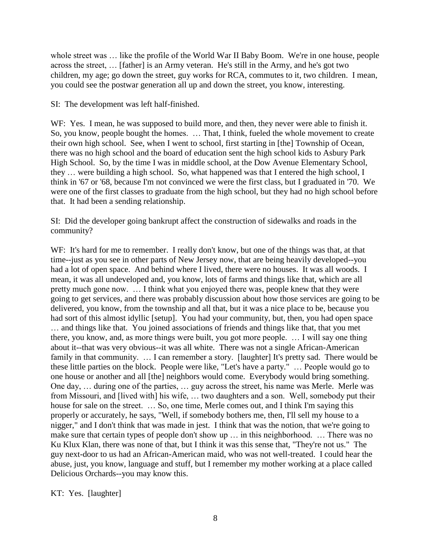whole street was ... like the profile of the World War II Baby Boom. We're in one house, people across the street, … [father] is an Army veteran. He's still in the Army, and he's got two children, my age; go down the street, guy works for RCA, commutes to it, two children. I mean, you could see the postwar generation all up and down the street, you know, interesting.

SI: The development was left half-finished.

WF: Yes. I mean, he was supposed to build more, and then, they never were able to finish it. So, you know, people bought the homes. … That, I think, fueled the whole movement to create their own high school. See, when I went to school, first starting in [the] Township of Ocean, there was no high school and the board of education sent the high school kids to Asbury Park High School. So, by the time I was in middle school, at the Dow Avenue Elementary School, they … were building a high school. So, what happened was that I entered the high school, I think in '67 or '68, because I'm not convinced we were the first class, but I graduated in '70. We were one of the first classes to graduate from the high school, but they had no high school before that. It had been a sending relationship.

SI: Did the developer going bankrupt affect the construction of sidewalks and roads in the community?

WF: It's hard for me to remember. I really don't know, but one of the things was that, at that time--just as you see in other parts of New Jersey now, that are being heavily developed--you had a lot of open space. And behind where I lived, there were no houses. It was all woods. I mean, it was all undeveloped and, you know, lots of farms and things like that, which are all pretty much gone now. … I think what you enjoyed there was, people knew that they were going to get services, and there was probably discussion about how those services are going to be delivered, you know, from the township and all that, but it was a nice place to be, because you had sort of this almost idyllic [setup]. You had your community, but, then, you had open space … and things like that. You joined associations of friends and things like that, that you met there, you know, and, as more things were built, you got more people. … I will say one thing about it--that was very obvious--it was all white. There was not a single African-American family in that community. ... I can remember a story. [laughter] It's pretty sad. There would be these little parties on the block. People were like, "Let's have a party." … People would go to one house or another and all [the] neighbors would come. Everybody would bring something. One day, … during one of the parties, … guy across the street, his name was Merle. Merle was from Missouri, and [lived with] his wife, ... two daughters and a son. Well, somebody put their house for sale on the street. … So, one time, Merle comes out, and I think I'm saying this properly or accurately, he says, "Well, if somebody bothers me, then, I'll sell my house to a nigger," and I don't think that was made in jest. I think that was the notion, that we're going to make sure that certain types of people don't show up … in this neighborhood. … There was no Ku Klux Klan, there was none of that, but I think it was this sense that, "They're not us." The guy next-door to us had an African-American maid, who was not well-treated. I could hear the abuse, just, you know, language and stuff, but I remember my mother working at a place called Delicious Orchards--you may know this.

KT: Yes. [laughter]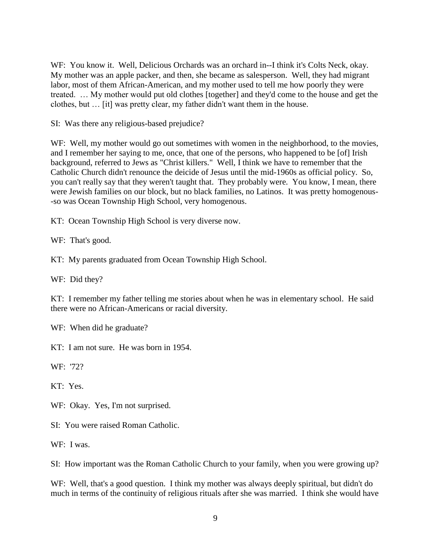WF: You know it. Well, Delicious Orchards was an orchard in--I think it's Colts Neck, okay. My mother was an apple packer, and then, she became as salesperson. Well, they had migrant labor, most of them African-American, and my mother used to tell me how poorly they were treated. … My mother would put old clothes [together] and they'd come to the house and get the clothes, but … [it] was pretty clear, my father didn't want them in the house.

SI: Was there any religious-based prejudice?

WF: Well, my mother would go out sometimes with women in the neighborhood, to the movies, and I remember her saying to me, once, that one of the persons, who happened to be [of] Irish background, referred to Jews as "Christ killers." Well, I think we have to remember that the Catholic Church didn't renounce the deicide of Jesus until the mid-1960s as official policy. So, you can't really say that they weren't taught that. They probably were. You know, I mean, there were Jewish families on our block, but no black families, no Latinos. It was pretty homogenous- -so was Ocean Township High School, very homogenous.

KT: Ocean Township High School is very diverse now.

WF: That's good.

KT: My parents graduated from Ocean Township High School.

WF: Did they?

KT: I remember my father telling me stories about when he was in elementary school. He said there were no African-Americans or racial diversity.

WF: When did he graduate?

KT: I am not sure. He was born in 1954.

WF: '72?

KT: Yes.

WF: Okay. Yes, I'm not surprised.

SI: You were raised Roman Catholic.

WF: I was.

SI: How important was the Roman Catholic Church to your family, when you were growing up?

WF: Well, that's a good question. I think my mother was always deeply spiritual, but didn't do much in terms of the continuity of religious rituals after she was married. I think she would have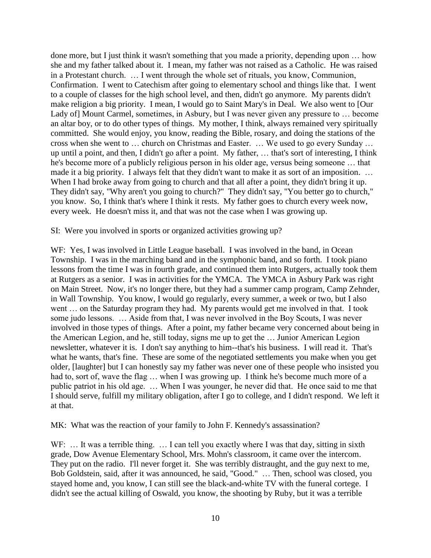done more, but I just think it wasn't something that you made a priority, depending upon … how she and my father talked about it. I mean, my father was not raised as a Catholic. He was raised in a Protestant church. … I went through the whole set of rituals, you know, Communion, Confirmation. I went to Catechism after going to elementary school and things like that. I went to a couple of classes for the high school level, and then, didn't go anymore. My parents didn't make religion a big priority. I mean, I would go to Saint Mary's in Deal. We also went to [Our Lady of] Mount Carmel, sometimes, in Asbury, but I was never given any pressure to … become an altar boy, or to do other types of things. My mother, I think, always remained very spiritually committed. She would enjoy, you know, reading the Bible, rosary, and doing the stations of the cross when she went to … church on Christmas and Easter. … We used to go every Sunday … up until a point, and then, I didn't go after a point. My father, … that's sort of interesting, I think he's become more of a publicly religious person in his older age, versus being someone … that made it a big priority. I always felt that they didn't want to make it as sort of an imposition. … When I had broke away from going to church and that all after a point, they didn't bring it up. They didn't say, "Why aren't you going to church?" They didn't say, "You better go to church," you know. So, I think that's where I think it rests. My father goes to church every week now, every week. He doesn't miss it, and that was not the case when I was growing up.

SI: Were you involved in sports or organized activities growing up?

WF: Yes, I was involved in Little League baseball. I was involved in the band, in Ocean Township. I was in the marching band and in the symphonic band, and so forth. I took piano lessons from the time I was in fourth grade, and continued them into Rutgers, actually took them at Rutgers as a senior. I was in activities for the YMCA. The YMCA in Asbury Park was right on Main Street. Now, it's no longer there, but they had a summer camp program, Camp Zehnder, in Wall Township. You know, I would go regularly, every summer, a week or two, but I also went … on the Saturday program they had. My parents would get me involved in that. I took some judo lessons. … Aside from that, I was never involved in the Boy Scouts, I was never involved in those types of things. After a point, my father became very concerned about being in the American Legion, and he, still today, signs me up to get the … Junior American Legion newsletter, whatever it is. I don't say anything to him--that's his business. I will read it. That's what he wants, that's fine. These are some of the negotiated settlements you make when you get older, [laughter] but I can honestly say my father was never one of these people who insisted you had to, sort of, wave the flag ... when I was growing up. I think he's become much more of a public patriot in his old age. … When I was younger, he never did that. He once said to me that I should serve, fulfill my military obligation, after I go to college, and I didn't respond. We left it at that.

MK: What was the reaction of your family to John F. Kennedy's assassination?

WF: ... It was a terrible thing. ... I can tell you exactly where I was that day, sitting in sixth grade, Dow Avenue Elementary School, Mrs. Mohn's classroom, it came over the intercom. They put on the radio. I'll never forget it. She was terribly distraught, and the guy next to me, Bob Goldstein, said, after it was announced, he said, "Good." … Then, school was closed, you stayed home and, you know, I can still see the black-and-white TV with the funeral cortege. I didn't see the actual killing of Oswald, you know, the shooting by Ruby, but it was a terrible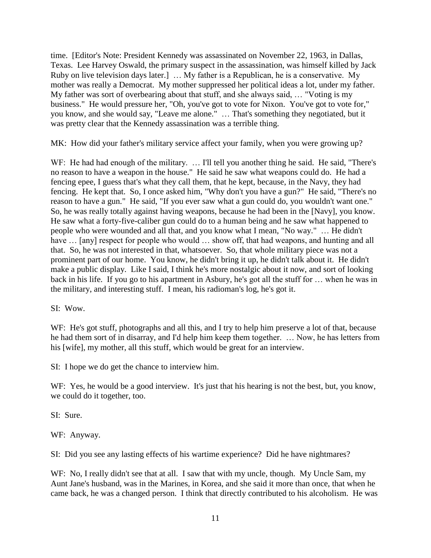time. [Editor's Note: President Kennedy was assassinated on November 22, 1963, in Dallas, Texas. Lee Harvey Oswald, the primary suspect in the assassination, was himself killed by Jack Ruby on live television days later.] … My father is a Republican, he is a conservative. My mother was really a Democrat. My mother suppressed her political ideas a lot, under my father. My father was sort of overbearing about that stuff, and she always said, … "Voting is my business." He would pressure her, "Oh, you've got to vote for Nixon. You've got to vote for," you know, and she would say, "Leave me alone." … That's something they negotiated, but it was pretty clear that the Kennedy assassination was a terrible thing.

MK: How did your father's military service affect your family, when you were growing up?

WF: He had had enough of the military. ... I'll tell you another thing he said. He said, "There's no reason to have a weapon in the house." He said he saw what weapons could do. He had a fencing epee, I guess that's what they call them, that he kept, because, in the Navy, they had fencing. He kept that. So, I once asked him, "Why don't you have a gun?" He said, "There's no reason to have a gun." He said, "If you ever saw what a gun could do, you wouldn't want one." So, he was really totally against having weapons, because he had been in the [Navy], you know. He saw what a forty-five-caliber gun could do to a human being and he saw what happened to people who were wounded and all that, and you know what I mean, "No way." … He didn't have ... [any] respect for people who would ... show off, that had weapons, and hunting and all that. So, he was not interested in that, whatsoever. So, that whole military piece was not a prominent part of our home. You know, he didn't bring it up, he didn't talk about it. He didn't make a public display. Like I said, I think he's more nostalgic about it now, and sort of looking back in his life. If you go to his apartment in Asbury, he's got all the stuff for … when he was in the military, and interesting stuff. I mean, his radioman's log, he's got it.

SI: Wow.

WF: He's got stuff, photographs and all this, and I try to help him preserve a lot of that, because he had them sort of in disarray, and I'd help him keep them together. … Now, he has letters from his [wife], my mother, all this stuff, which would be great for an interview.

SI: I hope we do get the chance to interview him.

WF: Yes, he would be a good interview. It's just that his hearing is not the best, but, you know, we could do it together, too.

SI: Sure.

WF: Anyway.

SI: Did you see any lasting effects of his wartime experience? Did he have nightmares?

WF: No, I really didn't see that at all. I saw that with my uncle, though. My Uncle Sam, my Aunt Jane's husband, was in the Marines, in Korea, and she said it more than once, that when he came back, he was a changed person. I think that directly contributed to his alcoholism. He was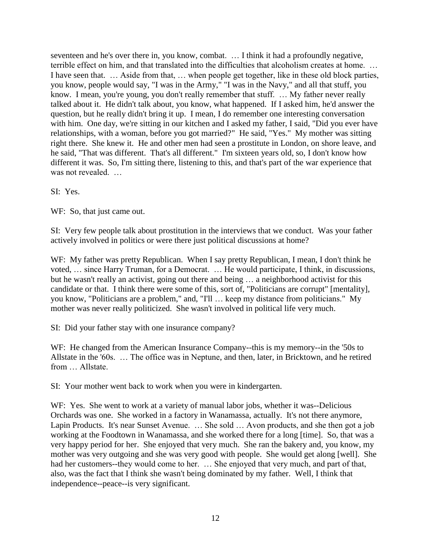seventeen and he's over there in, you know, combat. … I think it had a profoundly negative, terrible effect on him, and that translated into the difficulties that alcoholism creates at home. … I have seen that. … Aside from that, … when people get together, like in these old block parties, you know, people would say, "I was in the Army," "I was in the Navy," and all that stuff, you know. I mean, you're young, you don't really remember that stuff. ... My father never really talked about it. He didn't talk about, you know, what happened. If I asked him, he'd answer the question, but he really didn't bring it up. I mean, I do remember one interesting conversation with him. One day, we're sitting in our kitchen and I asked my father, I said, "Did you ever have relationships, with a woman, before you got married?" He said, "Yes." My mother was sitting right there. She knew it. He and other men had seen a prostitute in London, on shore leave, and he said, "That was different. That's all different." I'm sixteen years old, so, I don't know how different it was. So, I'm sitting there, listening to this, and that's part of the war experience that was not revealed. …

SI: Yes.

WF: So, that just came out.

SI: Very few people talk about prostitution in the interviews that we conduct. Was your father actively involved in politics or were there just political discussions at home?

WF: My father was pretty Republican. When I say pretty Republican, I mean, I don't think he voted, … since Harry Truman, for a Democrat. … He would participate, I think, in discussions, but he wasn't really an activist, going out there and being … a neighborhood activist for this candidate or that. I think there were some of this, sort of, "Politicians are corrupt" [mentality], you know, "Politicians are a problem," and, "I'll … keep my distance from politicians." My mother was never really politicized. She wasn't involved in political life very much.

SI: Did your father stay with one insurance company?

WF: He changed from the American Insurance Company--this is my memory--in the '50s to Allstate in the '60s. … The office was in Neptune, and then, later, in Bricktown, and he retired from Allstate

SI: Your mother went back to work when you were in kindergarten.

WF: Yes. She went to work at a variety of manual labor jobs, whether it was--Delicious Orchards was one. She worked in a factory in Wanamassa, actually. It's not there anymore, Lapin Products. It's near Sunset Avenue. … She sold … Avon products, and she then got a job working at the Foodtown in Wanamassa, and she worked there for a long [time]. So, that was a very happy period for her. She enjoyed that very much. She ran the bakery and, you know, my mother was very outgoing and she was very good with people. She would get along [well]. She had her customers--they would come to her. ... She enjoyed that very much, and part of that, also, was the fact that I think she wasn't being dominated by my father. Well, I think that independence--peace--is very significant.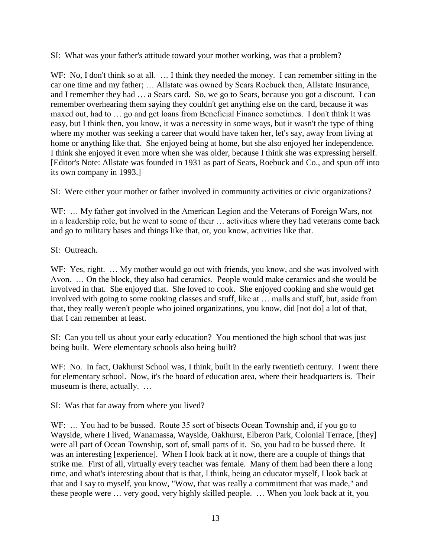SI: What was your father's attitude toward your mother working, was that a problem?

WF: No, I don't think so at all. ... I think they needed the money. I can remember sitting in the car one time and my father; … Allstate was owned by Sears Roebuck then, Allstate Insurance, and I remember they had … a Sears card. So, we go to Sears, because you got a discount. I can remember overhearing them saying they couldn't get anything else on the card, because it was maxed out, had to … go and get loans from Beneficial Finance sometimes. I don't think it was easy, but I think then, you know, it was a necessity in some ways, but it wasn't the type of thing where my mother was seeking a career that would have taken her, let's say, away from living at home or anything like that. She enjoyed being at home, but she also enjoyed her independence. I think she enjoyed it even more when she was older, because I think she was expressing herself. [Editor's Note: Allstate was founded in 1931 as part of Sears, Roebuck and Co., and spun off into its own company in 1993.]

SI: Were either your mother or father involved in community activities or civic organizations?

WF: ... My father got involved in the American Legion and the Veterans of Foreign Wars, not in a leadership role, but he went to some of their … activities where they had veterans come back and go to military bases and things like that, or, you know, activities like that.

SI: Outreach.

WF: Yes, right. ... My mother would go out with friends, you know, and she was involved with Avon. … On the block, they also had ceramics. People would make ceramics and she would be involved in that. She enjoyed that. She loved to cook. She enjoyed cooking and she would get involved with going to some cooking classes and stuff, like at … malls and stuff, but, aside from that, they really weren't people who joined organizations, you know, did [not do] a lot of that, that I can remember at least.

SI: Can you tell us about your early education? You mentioned the high school that was just being built. Were elementary schools also being built?

WF: No. In fact, Oakhurst School was, I think, built in the early twentieth century. I went there for elementary school. Now, it's the board of education area, where their headquarters is. Their museum is there, actually. …

SI: Was that far away from where you lived?

WF: ... You had to be bussed. Route 35 sort of bisects Ocean Township and, if you go to Wayside, where I lived, Wanamassa, Wayside, Oakhurst, Elberon Park, Colonial Terrace, [they] were all part of Ocean Township, sort of, small parts of it. So, you had to be bussed there. It was an interesting [experience]. When I look back at it now, there are a couple of things that strike me. First of all, virtually every teacher was female. Many of them had been there a long time, and what's interesting about that is that, I think, being an educator myself, I look back at that and I say to myself, you know, "Wow, that was really a commitment that was made," and these people were … very good, very highly skilled people. … When you look back at it, you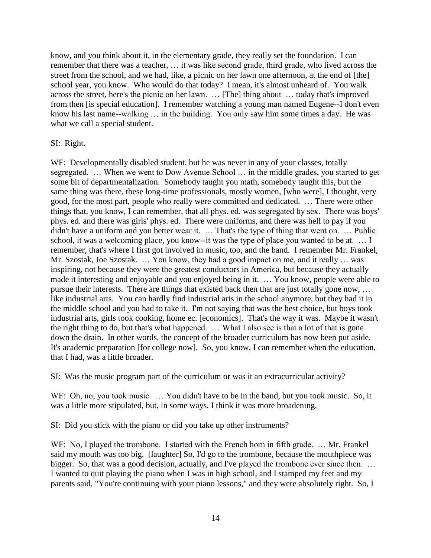know, and you think about it, in the elementary grade, they really set the foundation. I can remember that there was a teacher, … it was like second grade, third grade, who lived across the street from the school, and we had, like, a picnic on her lawn one afternoon, at the end of [the] school year, you know. Who would do that today? I mean, it's almost unheard of. You walk across the street, here's the picnic on her lawn. … [The] thing about … today that's improved from then [is special education]. I remember watching a young man named Eugene--I don't even know his last name--walking … in the building. You only saw him some times a day. He was what we call a special student.

SI: Right.

WF: Developmentally disabled student, but he was never in any of your classes, totally segregated. … When we went to Dow Avenue School … in the middle grades, you started to get some bit of departmentalization. Somebody taught you math, somebody taught this, but the same thing was there, these long-time professionals, mostly women, [who were], I thought, very good, for the most part, people who really were committed and dedicated. … There were other things that, you know, I can remember, that all phys. ed. was segregated by sex. There was boys' phys. ed. and there was girls' phys. ed. There were uniforms, and there was hell to pay if you didn't have a uniform and you better wear it. … That's the type of thing that went on. … Public school, it was a welcoming place, you know--it was the type of place you wanted to be at. … I remember, that's where I first got involved in music, too, and the band. I remember Mr. Frankel, Mr. Szostak, Joe Szostak. … You know, they had a good impact on me, and it really … was inspiring, not because they were the greatest conductors in America, but because they actually made it interesting and enjoyable and you enjoyed being in it. … You know, people were able to pursue their interests. There are things that existed back then that are just totally gone now, … like industrial arts. You can hardly find industrial arts in the school anymore, but they had it in the middle school and you had to take it. I'm not saying that was the best choice, but boys took industrial arts, girls took cooking, home ec. [economics]. That's the way it was. Maybe it wasn't the right thing to do, but that's what happened. … What I also see is that a lot of that is gone down the drain. In other words, the concept of the broader curriculum has now been put aside. It's academic preparation [for college now]. So, you know, I can remember when the education, that I had, was a little broader.

SI: Was the music program part of the curriculum or was it an extracurricular activity?

WF: Oh, no, you took music. ... You didn't have to be in the band, but you took music. So, it was a little more stipulated, but, in some ways, I think it was more broadening.

SI: Did you stick with the piano or did you take up other instruments?

WF: No, I played the trombone. I started with the French horn in fifth grade. ... Mr. Frankel said my mouth was too big. [laughter] So, I'd go to the trombone, because the mouthpiece was bigger. So, that was a good decision, actually, and I've played the trombone ever since then. ... I wanted to quit playing the piano when I was in high school, and I stamped my feet and my parents said, "You're continuing with your piano lessons," and they were absolutely right. So, I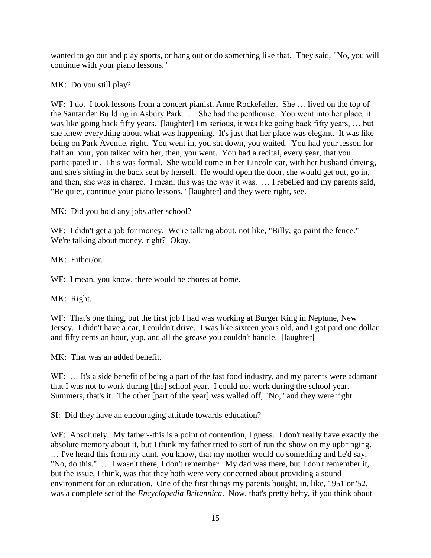wanted to go out and play sports, or hang out or do something like that. They said, "No, you will continue with your piano lessons."

MK: Do you still play?

WF: I do. I took lessons from a concert pianist, Anne Rockefeller. She ... lived on the top of the Santander Building in Asbury Park. … She had the penthouse. You went into her place, it was like going back fifty years. [laughter] I'm serious, it was like going back fifty years, … but she knew everything about what was happening. It's just that her place was elegant. It was like being on Park Avenue, right. You went in, you sat down, you waited. You had your lesson for half an hour, you talked with her, then, you went. You had a recital, every year, that you participated in. This was formal. She would come in her Lincoln car, with her husband driving, and she's sitting in the back seat by herself. He would open the door, she would get out, go in, and then, she was in charge. I mean, this was the way it was. … I rebelled and my parents said, "Be quiet, continue your piano lessons," [laughter] and they were right, see.

MK: Did you hold any jobs after school?

WF: I didn't get a job for money. We're talking about, not like, "Billy, go paint the fence." We're talking about money, right? Okay.

MK: Either/or.

WF: I mean, you know, there would be chores at home.

MK: Right.

WF: That's one thing, but the first job I had was working at Burger King in Neptune, New Jersey. I didn't have a car, I couldn't drive. I was like sixteen years old, and I got paid one dollar and fifty cents an hour, yup, and all the grease you couldn't handle. [laughter]

MK: That was an added benefit.

WF: ... It's a side benefit of being a part of the fast food industry, and my parents were adamant that I was not to work during [the] school year. I could not work during the school year. Summers, that's it. The other [part of the year] was walled off, "No," and they were right.

SI: Did they have an encouraging attitude towards education?

WF: Absolutely. My father--this is a point of contention, I guess. I don't really have exactly the absolute memory about it, but I think my father tried to sort of run the show on my upbringing. … I've heard this from my aunt, you know, that my mother would do something and he'd say, "No, do this." … I wasn't there, I don't remember. My dad was there, but I don't remember it, but the issue, I think, was that they both were very concerned about providing a sound environment for an education. One of the first things my parents bought, in, like, 1951 or '52, was a complete set of the *Encyclopedia Britannica*. Now, that's pretty hefty, if you think about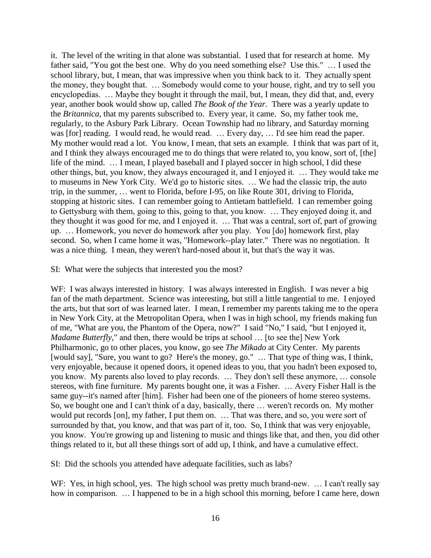it. The level of the writing in that alone was substantial. I used that for research at home. My father said, "You got the best one. Why do you need something else? Use this." … I used the school library, but, I mean, that was impressive when you think back to it. They actually spent the money, they bought that. … Somebody would come to your house, right, and try to sell you encyclopedias. … Maybe they bought it through the mail, but, I mean, they did that, and, every year, another book would show up, called *The Book of the Year*. There was a yearly update to the *Britannica*, that my parents subscribed to. Every year, it came. So, my father took me, regularly, to the Asbury Park Library. Ocean Township had no library, and Saturday morning was [for] reading. I would read, he would read. … Every day, … I'd see him read the paper. My mother would read a lot. You know, I mean, that sets an example. I think that was part of it, and I think they always encouraged me to do things that were related to, you know, sort of, [the] life of the mind. … I mean, I played baseball and I played soccer in high school, I did these other things, but, you know, they always encouraged it, and I enjoyed it. … They would take me to museums in New York City. We'd go to historic sites. … We had the classic trip, the auto trip, in the summer, … went to Florida, before I-95, on like Route 301, driving to Florida, stopping at historic sites. I can remember going to Antietam battlefield. I can remember going to Gettysburg with them, going to this, going to that, you know. … They enjoyed doing it, and they thought it was good for me, and I enjoyed it. … That was a central, sort of, part of growing up. … Homework, you never do homework after you play. You [do] homework first, play second. So, when I came home it was, "Homework--play later." There was no negotiation. It was a nice thing. I mean, they weren't hard-nosed about it, but that's the way it was.

### SI: What were the subjects that interested you the most?

WF: I was always interested in history. I was always interested in English. I was never a big fan of the math department. Science was interesting, but still a little tangential to me. I enjoyed the arts, but that sort of was learned later. I mean, I remember my parents taking me to the opera in New York City, at the Metropolitan Opera, when I was in high school, my friends making fun of me, "What are you, the Phantom of the Opera, now?" I said "No," I said, "but I enjoyed it, *Madame Butterfly*," and then, there would be trips at school ... [to see the] New York Philharmonic, go to other places, you know, go see *The Mikado* at City Center. My parents [would say], "Sure, you want to go? Here's the money, go." … That type of thing was, I think, very enjoyable, because it opened doors, it opened ideas to you, that you hadn't been exposed to, you know. My parents also loved to play records. … They don't sell these anymore, … console stereos, with fine furniture. My parents bought one, it was a Fisher. … Avery Fisher Hall is the same guy--it's named after [him]. Fisher had been one of the pioneers of home stereo systems. So, we bought one and I can't think of a day, basically, there … weren't records on. My mother would put records [on], my father, I put them on. … That was there, and so, you were sort of surrounded by that, you know, and that was part of it, too. So, I think that was very enjoyable, you know. You're growing up and listening to music and things like that, and then, you did other things related to it, but all these things sort of add up, I think, and have a cumulative effect.

SI: Did the schools you attended have adequate facilities, such as labs?

WF: Yes, in high school, yes. The high school was pretty much brand-new. ... I can't really say how in comparison. ... I happened to be in a high school this morning, before I came here, down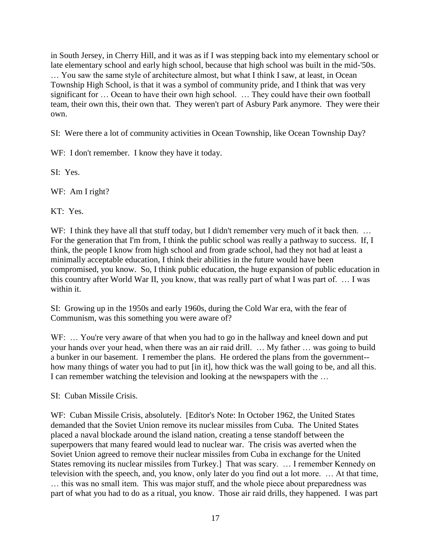in South Jersey, in Cherry Hill, and it was as if I was stepping back into my elementary school or late elementary school and early high school, because that high school was built in the mid-'50s. … You saw the same style of architecture almost, but what I think I saw, at least, in Ocean Township High School, is that it was a symbol of community pride, and I think that was very significant for … Ocean to have their own high school. … They could have their own football team, their own this, their own that. They weren't part of Asbury Park anymore. They were their own.

SI: Were there a lot of community activities in Ocean Township, like Ocean Township Day?

WF: I don't remember. I know they have it today.

SI: Yes.

WF: Am I right?

KT: Yes.

WF: I think they have all that stuff today, but I didn't remember very much of it back then. ... For the generation that I'm from, I think the public school was really a pathway to success. If, I think, the people I know from high school and from grade school, had they not had at least a minimally acceptable education, I think their abilities in the future would have been compromised, you know. So, I think public education, the huge expansion of public education in this country after World War II, you know, that was really part of what I was part of. … I was within it.

SI: Growing up in the 1950s and early 1960s, during the Cold War era, with the fear of Communism, was this something you were aware of?

WF: ... You're very aware of that when you had to go in the hallway and kneel down and put your hands over your head, when there was an air raid drill. … My father … was going to build a bunker in our basement. I remember the plans. He ordered the plans from the government- how many things of water you had to put [in it], how thick was the wall going to be, and all this. I can remember watching the television and looking at the newspapers with the …

SI: Cuban Missile Crisis.

WF: Cuban Missile Crisis, absolutely. [Editor's Note: In October 1962, the United States demanded that the Soviet Union remove its nuclear missiles from Cuba. The United States placed a naval blockade around the island nation, creating a tense standoff between the superpowers that many feared would lead to nuclear war. The crisis was averted when the Soviet Union agreed to remove their nuclear missiles from Cuba in exchange for the United States removing its nuclear missiles from Turkey.] That was scary. … I remember Kennedy on television with the speech, and, you know, only later do you find out a lot more. … At that time, … this was no small item. This was major stuff, and the whole piece about preparedness was part of what you had to do as a ritual, you know. Those air raid drills, they happened. I was part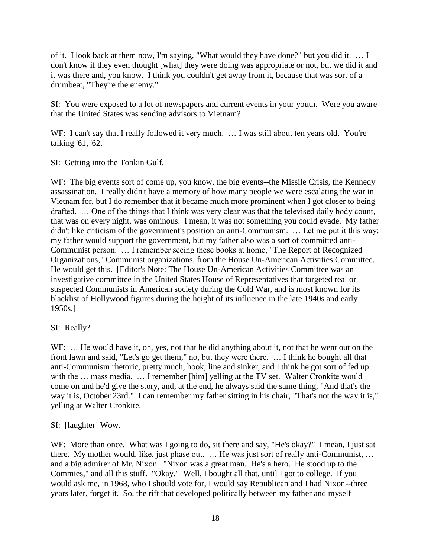of it. I look back at them now, I'm saying, "What would they have done?" but you did it. … I don't know if they even thought [what] they were doing was appropriate or not, but we did it and it was there and, you know. I think you couldn't get away from it, because that was sort of a drumbeat, "They're the enemy."

SI: You were exposed to a lot of newspapers and current events in your youth. Were you aware that the United States was sending advisors to Vietnam?

WF: I can't say that I really followed it very much. ... I was still about ten years old. You're talking '61, '62.

SI: Getting into the Tonkin Gulf.

WF: The big events sort of come up, you know, the big events--the Missile Crisis, the Kennedy assassination. I really didn't have a memory of how many people we were escalating the war in Vietnam for, but I do remember that it became much more prominent when I got closer to being drafted. … One of the things that I think was very clear was that the televised daily body count, that was on every night, was ominous. I mean, it was not something you could evade. My father didn't like criticism of the government's position on anti-Communism. … Let me put it this way: my father would support the government, but my father also was a sort of committed anti-Communist person. … I remember seeing these books at home, "The Report of Recognized Organizations," Communist organizations, from the House Un-American Activities Committee. He would get this. [Editor's Note: The House Un-American Activities Committee was an investigative committee in the United States House of Representatives that targeted real or suspected Communists in American society during the Cold War, and is most known for its blacklist of Hollywood figures during the height of its influence in the late 1940s and early 1950s.]

# SI: Really?

WF: ... He would have it, oh, yes, not that he did anything about it, not that he went out on the front lawn and said, "Let's go get them," no, but they were there. … I think he bought all that anti-Communism rhetoric, pretty much, hook, line and sinker, and I think he got sort of fed up with the ... mass media. ... I remember [him] yelling at the TV set. Walter Cronkite would come on and he'd give the story, and, at the end, he always said the same thing, "And that's the way it is, October 23rd." I can remember my father sitting in his chair, "That's not the way it is," yelling at Walter Cronkite.

# SI: [laughter] Wow.

WF: More than once. What was I going to do, sit there and say, "He's okay?" I mean, I just sat there. My mother would, like, just phase out. … He was just sort of really anti-Communist, … and a big admirer of Mr. Nixon. "Nixon was a great man. He's a hero. He stood up to the Commies," and all this stuff. "Okay." Well, I bought all that, until I got to college. If you would ask me, in 1968, who I should vote for, I would say Republican and I had Nixon--three years later, forget it. So, the rift that developed politically between my father and myself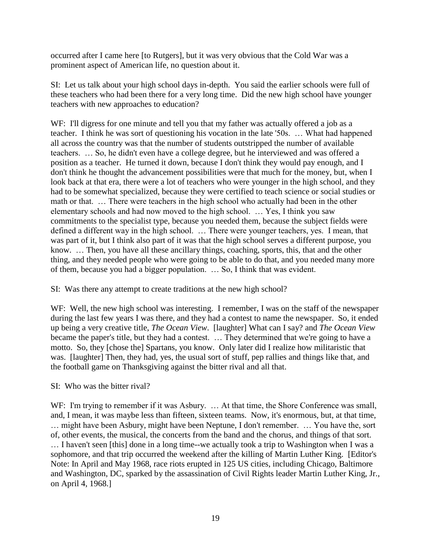occurred after I came here [to Rutgers], but it was very obvious that the Cold War was a prominent aspect of American life, no question about it.

SI: Let us talk about your high school days in-depth. You said the earlier schools were full of these teachers who had been there for a very long time. Did the new high school have younger teachers with new approaches to education?

WF: I'll digress for one minute and tell you that my father was actually offered a job as a teacher. I think he was sort of questioning his vocation in the late '50s. … What had happened all across the country was that the number of students outstripped the number of available teachers. … So, he didn't even have a college degree, but he interviewed and was offered a position as a teacher. He turned it down, because I don't think they would pay enough, and I don't think he thought the advancement possibilities were that much for the money, but, when I look back at that era, there were a lot of teachers who were younger in the high school, and they had to be somewhat specialized, because they were certified to teach science or social studies or math or that. … There were teachers in the high school who actually had been in the other elementary schools and had now moved to the high school. … Yes, I think you saw commitments to the specialist type, because you needed them, because the subject fields were defined a different way in the high school. … There were younger teachers, yes. I mean, that was part of it, but I think also part of it was that the high school serves a different purpose, you know. … Then, you have all these ancillary things, coaching, sports, this, that and the other thing, and they needed people who were going to be able to do that, and you needed many more of them, because you had a bigger population. … So, I think that was evident.

SI: Was there any attempt to create traditions at the new high school?

WF: Well, the new high school was interesting. I remember, I was on the staff of the newspaper during the last few years I was there, and they had a contest to name the newspaper. So, it ended up being a very creative title, *The Ocean View*. [laughter] What can I say? and *The Ocean View* became the paper's title, but they had a contest. … They determined that we're going to have a motto. So, they [chose the] Spartans, you know. Only later did I realize how militaristic that was. [laughter] Then, they had, yes, the usual sort of stuff, pep rallies and things like that, and the football game on Thanksgiving against the bitter rival and all that.

# SI: Who was the bitter rival?

WF: I'm trying to remember if it was Asbury. ... At that time, the Shore Conference was small, and, I mean, it was maybe less than fifteen, sixteen teams. Now, it's enormous, but, at that time, … might have been Asbury, might have been Neptune, I don't remember. … You have the, sort of, other events, the musical, the concerts from the band and the chorus, and things of that sort. … I haven't seen [this] done in a long time--we actually took a trip to Washington when I was a sophomore, and that trip occurred the weekend after the killing of Martin Luther King. [Editor's Note: In April and May 1968, race riots erupted in 125 US cities, including Chicago, Baltimore and Washington, DC, sparked by the assassination of Civil Rights leader Martin Luther King, Jr., on April 4, 1968.]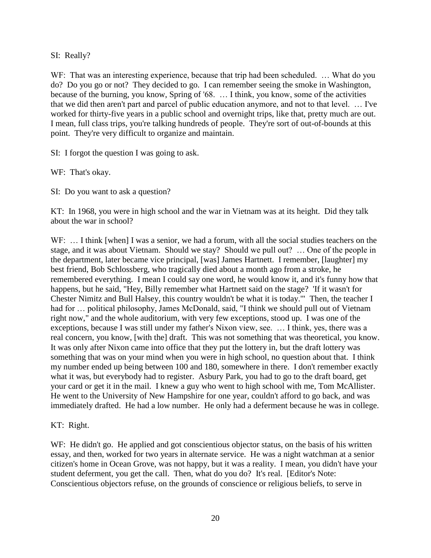## SI: Really?

WF: That was an interesting experience, because that trip had been scheduled. ... What do you do? Do you go or not? They decided to go. I can remember seeing the smoke in Washington, because of the burning, you know, Spring of '68. … I think, you know, some of the activities that we did then aren't part and parcel of public education anymore, and not to that level. … I've worked for thirty-five years in a public school and overnight trips, like that, pretty much are out. I mean, full class trips, you're talking hundreds of people. They're sort of out-of-bounds at this point. They're very difficult to organize and maintain.

SI: I forgot the question I was going to ask.

WF: That's okay.

SI: Do you want to ask a question?

KT: In 1968, you were in high school and the war in Vietnam was at its height. Did they talk about the war in school?

WF: ... I think [when] I was a senior, we had a forum, with all the social studies teachers on the stage, and it was about Vietnam. Should we stay? Should we pull out? … One of the people in the department, later became vice principal, [was] James Hartnett. I remember, [laughter] my best friend, Bob Schlossberg, who tragically died about a month ago from a stroke, he remembered everything. I mean I could say one word, he would know it, and it's funny how that happens, but he said, "Hey, Billy remember what Hartnett said on the stage? 'If it wasn't for Chester Nimitz and Bull Halsey, this country wouldn't be what it is today.'" Then, the teacher I had for … political philosophy, James McDonald, said, "I think we should pull out of Vietnam right now," and the whole auditorium, with very few exceptions, stood up. I was one of the exceptions, because I was still under my father's Nixon view, see. … I think, yes, there was a real concern, you know, [with the] draft. This was not something that was theoretical, you know. It was only after Nixon came into office that they put the lottery in, but the draft lottery was something that was on your mind when you were in high school, no question about that. I think my number ended up being between 100 and 180, somewhere in there. I don't remember exactly what it was, but everybody had to register. Asbury Park, you had to go to the draft board, get your card or get it in the mail. I knew a guy who went to high school with me, Tom McAllister. He went to the University of New Hampshire for one year, couldn't afford to go back, and was immediately drafted. He had a low number. He only had a deferment because he was in college.

KT: Right.

WF: He didn't go. He applied and got conscientious objector status, on the basis of his written essay, and then, worked for two years in alternate service. He was a night watchman at a senior citizen's home in Ocean Grove, was not happy, but it was a reality. I mean, you didn't have your student deferment, you get the call. Then, what do you do? It's real. [Editor's Note: Conscientious objectors refuse, on the grounds of conscience or religious beliefs, to serve in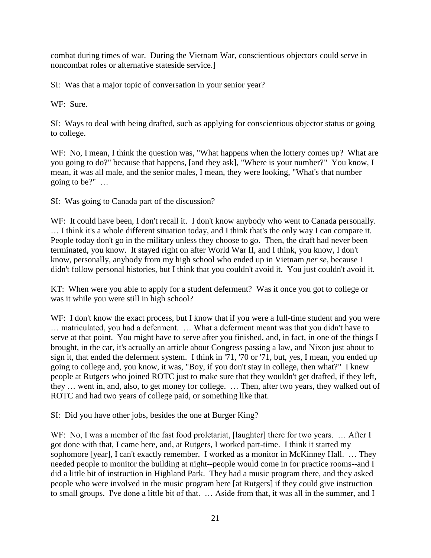combat during times of war. During the Vietnam War, conscientious objectors could serve in noncombat roles or alternative stateside service.]

SI: Was that a major topic of conversation in your senior year?

WF: Sure.

SI: Ways to deal with being drafted, such as applying for conscientious objector status or going to college.

WF: No, I mean, I think the question was, "What happens when the lottery comes up? What are you going to do?" because that happens, [and they ask], "Where is your number?" You know, I mean, it was all male, and the senior males, I mean, they were looking, "What's that number going to be?" …

SI: Was going to Canada part of the discussion?

WF: It could have been, I don't recall it. I don't know anybody who went to Canada personally. … I think it's a whole different situation today, and I think that's the only way I can compare it. People today don't go in the military unless they choose to go. Then, the draft had never been terminated, you know. It stayed right on after World War II, and I think, you know, I don't know, personally, anybody from my high school who ended up in Vietnam *per se*, because I didn't follow personal histories, but I think that you couldn't avoid it. You just couldn't avoid it.

KT: When were you able to apply for a student deferment? Was it once you got to college or was it while you were still in high school?

WF: I don't know the exact process, but I know that if you were a full-time student and you were … matriculated, you had a deferment. … What a deferment meant was that you didn't have to serve at that point. You might have to serve after you finished, and, in fact, in one of the things I brought, in the car, it's actually an article about Congress passing a law, and Nixon just about to sign it, that ended the deferment system. I think in '71, '70 or '71, but, yes, I mean, you ended up going to college and, you know, it was, "Boy, if you don't stay in college, then what?" I knew people at Rutgers who joined ROTC just to make sure that they wouldn't get drafted, if they left, they … went in, and, also, to get money for college. … Then, after two years, they walked out of ROTC and had two years of college paid, or something like that.

SI: Did you have other jobs, besides the one at Burger King?

WF: No, I was a member of the fast food proletariat, [laughter] there for two years. ... After I got done with that, I came here, and, at Rutgers, I worked part-time. I think it started my sophomore [year], I can't exactly remember. I worked as a monitor in McKinney Hall. … They needed people to monitor the building at night--people would come in for practice rooms--and I did a little bit of instruction in Highland Park. They had a music program there, and they asked people who were involved in the music program here [at Rutgers] if they could give instruction to small groups. I've done a little bit of that. … Aside from that, it was all in the summer, and I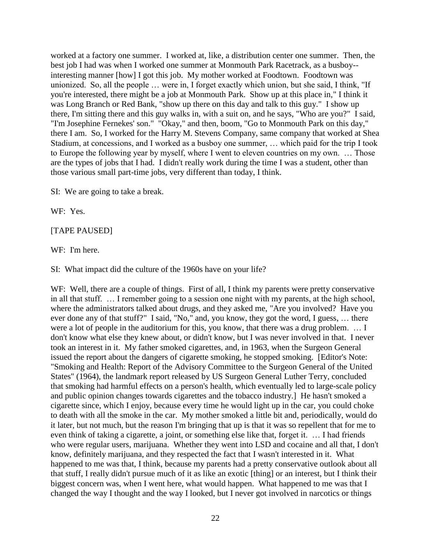worked at a factory one summer. I worked at, like, a distribution center one summer. Then, the best job I had was when I worked one summer at Monmouth Park Racetrack, as a busboy- interesting manner [how] I got this job. My mother worked at Foodtown. Foodtown was unionized. So, all the people … were in, I forget exactly which union, but she said, I think, "If you're interested, there might be a job at Monmouth Park. Show up at this place in," I think it was Long Branch or Red Bank, "show up there on this day and talk to this guy." I show up there, I'm sitting there and this guy walks in, with a suit on, and he says, "Who are you?" I said, "I'm Josephine Fernekes' son." "Okay," and then, boom, "Go to Monmouth Park on this day," there I am. So, I worked for the Harry M. Stevens Company, same company that worked at Shea Stadium, at concessions, and I worked as a busboy one summer, … which paid for the trip I took to Europe the following year by myself, where I went to eleven countries on my own. … Those are the types of jobs that I had. I didn't really work during the time I was a student, other than those various small part-time jobs, very different than today, I think.

SI: We are going to take a break.

WF: Yes.

#### [TAPE PAUSED]

WF: I'm here.

SI: What impact did the culture of the 1960s have on your life?

WF: Well, there are a couple of things. First of all, I think my parents were pretty conservative in all that stuff. … I remember going to a session one night with my parents, at the high school, where the administrators talked about drugs, and they asked me, "Are you involved? Have you ever done any of that stuff?" I said, "No," and, you know, they got the word, I guess, … there were a lot of people in the auditorium for this, you know, that there was a drug problem. … I don't know what else they knew about, or didn't know, but I was never involved in that. I never took an interest in it. My father smoked cigarettes, and, in 1963, when the Surgeon General issued the report about the dangers of cigarette smoking, he stopped smoking. [Editor's Note: "Smoking and Health: Report of the Advisory Committee to the Surgeon General of the United States" (1964), the landmark report released by US Surgeon General Luther Terry, concluded that smoking had harmful effects on a person's health, which eventually led to large-scale policy and public opinion changes towards cigarettes and the tobacco industry.] He hasn't smoked a cigarette since, which I enjoy, because every time he would light up in the car, you could choke to death with all the smoke in the car. My mother smoked a little bit and, periodically, would do it later, but not much, but the reason I'm bringing that up is that it was so repellent that for me to even think of taking a cigarette, a joint, or something else like that, forget it. … I had friends who were regular users, marijuana. Whether they went into LSD and cocaine and all that, I don't know, definitely marijuana, and they respected the fact that I wasn't interested in it. What happened to me was that, I think, because my parents had a pretty conservative outlook about all that stuff, I really didn't pursue much of it as like an exotic [thing] or an interest, but I think their biggest concern was, when I went here, what would happen. What happened to me was that I changed the way I thought and the way I looked, but I never got involved in narcotics or things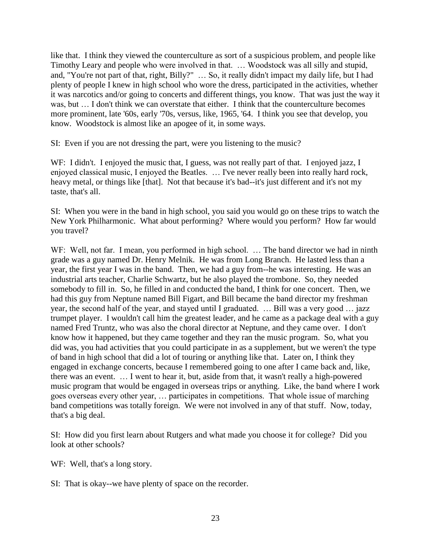like that. I think they viewed the counterculture as sort of a suspicious problem, and people like Timothy Leary and people who were involved in that. … Woodstock was all silly and stupid, and, "You're not part of that, right, Billy?" … So, it really didn't impact my daily life, but I had plenty of people I knew in high school who wore the dress, participated in the activities, whether it was narcotics and/or going to concerts and different things, you know. That was just the way it was, but … I don't think we can overstate that either. I think that the counterculture becomes more prominent, late '60s, early '70s, versus, like, 1965, '64. I think you see that develop, you know. Woodstock is almost like an apogee of it, in some ways.

SI: Even if you are not dressing the part, were you listening to the music?

WF: I didn't. I enjoyed the music that, I guess, was not really part of that. I enjoyed jazz, I enjoyed classical music, I enjoyed the Beatles. … I've never really been into really hard rock, heavy metal, or things like [that]. Not that because it's bad--it's just different and it's not my taste, that's all.

SI: When you were in the band in high school, you said you would go on these trips to watch the New York Philharmonic. What about performing? Where would you perform? How far would you travel?

WF: Well, not far. I mean, you performed in high school. ... The band director we had in ninth grade was a guy named Dr. Henry Melnik. He was from Long Branch. He lasted less than a year, the first year I was in the band. Then, we had a guy from--he was interesting. He was an industrial arts teacher, Charlie Schwartz, but he also played the trombone. So, they needed somebody to fill in. So, he filled in and conducted the band, I think for one concert. Then, we had this guy from Neptune named Bill Figart, and Bill became the band director my freshman year, the second half of the year, and stayed until I graduated. … Bill was a very good … jazz trumpet player. I wouldn't call him the greatest leader, and he came as a package deal with a guy named Fred Truntz, who was also the choral director at Neptune, and they came over. I don't know how it happened, but they came together and they ran the music program. So, what you did was, you had activities that you could participate in as a supplement, but we weren't the type of band in high school that did a lot of touring or anything like that. Later on, I think they engaged in exchange concerts, because I remembered going to one after I came back and, like, there was an event. … I went to hear it, but, aside from that, it wasn't really a high-powered music program that would be engaged in overseas trips or anything. Like, the band where I work goes overseas every other year, … participates in competitions. That whole issue of marching band competitions was totally foreign. We were not involved in any of that stuff. Now, today, that's a big deal.

SI: How did you first learn about Rutgers and what made you choose it for college? Did you look at other schools?

WF: Well, that's a long story.

SI: That is okay--we have plenty of space on the recorder.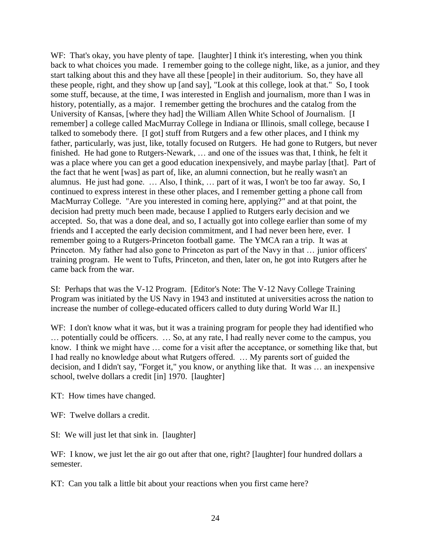WF: That's okay, you have plenty of tape. [laughter] I think it's interesting, when you think back to what choices you made. I remember going to the college night, like, as a junior, and they start talking about this and they have all these [people] in their auditorium. So, they have all these people, right, and they show up [and say], "Look at this college, look at that." So, I took some stuff, because, at the time, I was interested in English and journalism, more than I was in history, potentially, as a major. I remember getting the brochures and the catalog from the University of Kansas, [where they had] the William Allen White School of Journalism. [I remember] a college called MacMurray College in Indiana or Illinois, small college, because I talked to somebody there. [I got] stuff from Rutgers and a few other places, and I think my father, particularly, was just, like, totally focused on Rutgers. He had gone to Rutgers, but never finished. He had gone to Rutgers-Newark, … and one of the issues was that, I think, he felt it was a place where you can get a good education inexpensively, and maybe parlay [that]. Part of the fact that he went [was] as part of, like, an alumni connection, but he really wasn't an alumnus. He just had gone. … Also, I think, … part of it was, I won't be too far away. So, I continued to express interest in these other places, and I remember getting a phone call from MacMurray College. "Are you interested in coming here, applying?" and at that point, the decision had pretty much been made, because I applied to Rutgers early decision and we accepted. So, that was a done deal, and so, I actually got into college earlier than some of my friends and I accepted the early decision commitment, and I had never been here, ever. I remember going to a Rutgers-Princeton football game. The YMCA ran a trip. It was at Princeton. My father had also gone to Princeton as part of the Navy in that … junior officers' training program. He went to Tufts, Princeton, and then, later on, he got into Rutgers after he came back from the war.

SI: Perhaps that was the V-12 Program. [Editor's Note: The V-12 Navy College Training Program was initiated by the US Navy in 1943 and instituted at universities across the nation to increase the number of college-educated officers called to duty during World War II.]

WF: I don't know what it was, but it was a training program for people they had identified who … potentially could be officers. … So, at any rate, I had really never come to the campus, you know. I think we might have … come for a visit after the acceptance, or something like that, but I had really no knowledge about what Rutgers offered. … My parents sort of guided the decision, and I didn't say, "Forget it," you know, or anything like that. It was … an inexpensive school, twelve dollars a credit [in] 1970. [laughter]

KT: How times have changed.

WF: Twelve dollars a credit.

SI: We will just let that sink in. [laughter]

WF: I know, we just let the air go out after that one, right? [laughter] four hundred dollars a semester.

KT: Can you talk a little bit about your reactions when you first came here?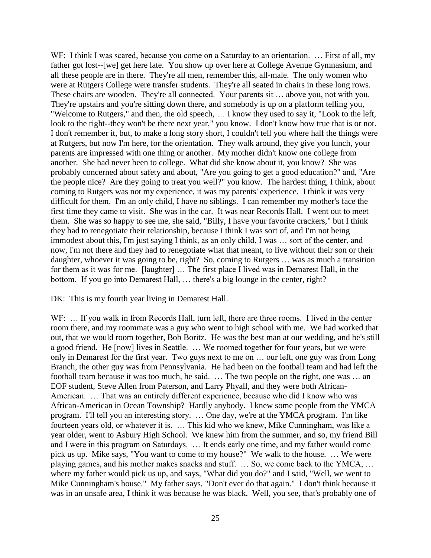WF: I think I was scared, because you come on a Saturday to an orientation. ... First of all, my father got lost--[we] get here late. You show up over here at College Avenue Gymnasium, and all these people are in there. They're all men, remember this, all-male. The only women who were at Rutgers College were transfer students. They're all seated in chairs in these long rows. These chairs are wooden. They're all connected. Your parents sit … above you, not with you. They're upstairs and you're sitting down there, and somebody is up on a platform telling you, "Welcome to Rutgers," and then, the old speech, … I know they used to say it, "Look to the left, look to the right--they won't be there next year," you know. I don't know how true that is or not. I don't remember it, but, to make a long story short, I couldn't tell you where half the things were at Rutgers, but now I'm here, for the orientation. They walk around, they give you lunch, your parents are impressed with one thing or another. My mother didn't know one college from another. She had never been to college. What did she know about it, you know? She was probably concerned about safety and about, "Are you going to get a good education?" and, "Are the people nice? Are they going to treat you well?" you know. The hardest thing, I think, about coming to Rutgers was not my experience, it was my parents' experience. I think it was very difficult for them. I'm an only child, I have no siblings. I can remember my mother's face the first time they came to visit. She was in the car. It was near Records Hall. I went out to meet them. She was so happy to see me, she said, "Billy, I have your favorite crackers," but I think they had to renegotiate their relationship, because I think I was sort of, and I'm not being immodest about this, I'm just saying I think, as an only child, I was … sort of the center, and now, I'm not there and they had to renegotiate what that meant, to live without their son or their daughter, whoever it was going to be, right? So, coming to Rutgers … was as much a transition for them as it was for me. [laughter] … The first place I lived was in Demarest Hall, in the bottom. If you go into Demarest Hall, … there's a big lounge in the center, right?

DK: This is my fourth year living in Demarest Hall.

WF: ... If you walk in from Records Hall, turn left, there are three rooms. I lived in the center room there, and my roommate was a guy who went to high school with me. We had worked that out, that we would room together, Bob Boritz. He was the best man at our wedding, and he's still a good friend. He [now] lives in Seattle. … We roomed together for four years, but we were only in Demarest for the first year. Two guys next to me on … our left, one guy was from Long Branch, the other guy was from Pennsylvania. He had been on the football team and had left the football team because it was too much, he said. … The two people on the right, one was … an EOF student, Steve Allen from Paterson, and Larry Phyall, and they were both African-American. … That was an entirely different experience, because who did I know who was African-American in Ocean Township? Hardly anybody. I knew some people from the YMCA program. I'll tell you an interesting story. … One day, we're at the YMCA program. I'm like fourteen years old, or whatever it is. … This kid who we knew, Mike Cunningham, was like a year older, went to Asbury High School. We knew him from the summer, and so, my friend Bill and I were in this program on Saturdays. … It ends early one time, and my father would come pick us up. Mike says, "You want to come to my house?" We walk to the house. … We were playing games, and his mother makes snacks and stuff. … So, we come back to the YMCA, … where my father would pick us up, and says, "What did you do?" and I said, "Well, we went to Mike Cunningham's house." My father says, "Don't ever do that again." I don't think because it was in an unsafe area, I think it was because he was black. Well, you see, that's probably one of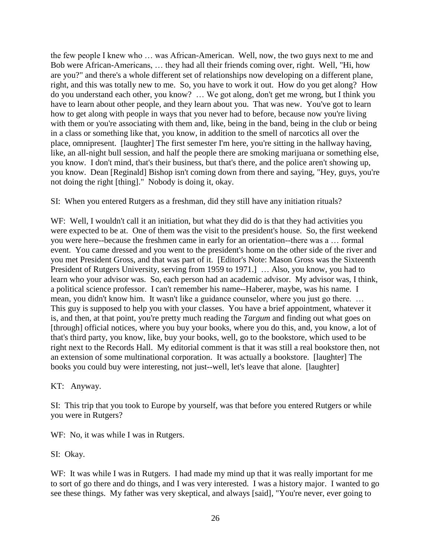the few people I knew who … was African-American. Well, now, the two guys next to me and Bob were African-Americans, … they had all their friends coming over, right. Well, "Hi, how are you?" and there's a whole different set of relationships now developing on a different plane, right, and this was totally new to me. So, you have to work it out. How do you get along? How do you understand each other, you know? … We got along, don't get me wrong, but I think you have to learn about other people, and they learn about you. That was new. You've got to learn how to get along with people in ways that you never had to before, because now you're living with them or you're associating with them and, like, being in the band, being in the club or being in a class or something like that, you know, in addition to the smell of narcotics all over the place, omnipresent. [laughter] The first semester I'm here, you're sitting in the hallway having, like, an all-night bull session, and half the people there are smoking marijuana or something else, you know. I don't mind, that's their business, but that's there, and the police aren't showing up, you know. Dean [Reginald] Bishop isn't coming down from there and saying, "Hey, guys, you're not doing the right [thing]." Nobody is doing it, okay.

SI: When you entered Rutgers as a freshman, did they still have any initiation rituals?

WF: Well, I wouldn't call it an initiation, but what they did do is that they had activities you were expected to be at. One of them was the visit to the president's house. So, the first weekend you were here--because the freshmen came in early for an orientation--there was a … formal event. You came dressed and you went to the president's home on the other side of the river and you met President Gross, and that was part of it. [Editor's Note: Mason Gross was the Sixteenth President of Rutgers University, serving from 1959 to 1971.] … Also, you know, you had to learn who your advisor was. So, each person had an academic advisor. My advisor was, I think, a political science professor. I can't remember his name--Haberer, maybe, was his name. I mean, you didn't know him. It wasn't like a guidance counselor, where you just go there. … This guy is supposed to help you with your classes. You have a brief appointment, whatever it is, and then, at that point, you're pretty much reading the *Targum* and finding out what goes on [through] official notices, where you buy your books, where you do this, and, you know, a lot of that's third party, you know, like, buy your books, well, go to the bookstore, which used to be right next to the Records Hall. My editorial comment is that it was still a real bookstore then, not an extension of some multinational corporation. It was actually a bookstore. [laughter] The books you could buy were interesting, not just--well, let's leave that alone. [laughter]

KT: Anyway.

SI: This trip that you took to Europe by yourself, was that before you entered Rutgers or while you were in Rutgers?

WF: No, it was while I was in Rutgers.

SI: Okay.

WF: It was while I was in Rutgers. I had made my mind up that it was really important for me to sort of go there and do things, and I was very interested. I was a history major. I wanted to go see these things. My father was very skeptical, and always [said], "You're never, ever going to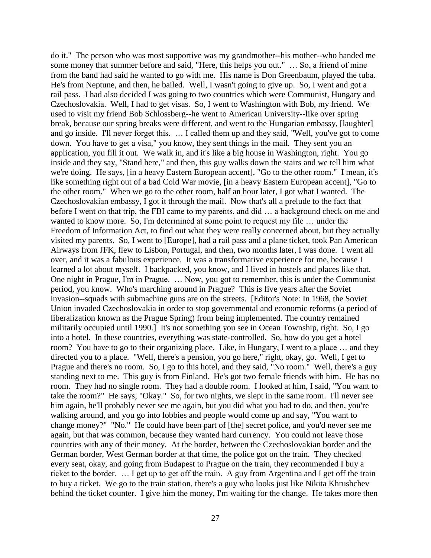do it." The person who was most supportive was my grandmother--his mother--who handed me some money that summer before and said, "Here, this helps you out." … So, a friend of mine from the band had said he wanted to go with me. His name is Don Greenbaum, played the tuba. He's from Neptune, and then, he bailed. Well, I wasn't going to give up. So, I went and got a rail pass. I had also decided I was going to two countries which were Communist, Hungary and Czechoslovakia. Well, I had to get visas. So, I went to Washington with Bob, my friend. We used to visit my friend Bob Schlossberg--he went to American University--like over spring break, because our spring breaks were different, and went to the Hungarian embassy, [laughter] and go inside. I'll never forget this. … I called them up and they said, "Well, you've got to come down. You have to get a visa," you know, they sent things in the mail. They sent you an application, you fill it out. We walk in, and it's like a big house in Washington, right. You go inside and they say, "Stand here," and then, this guy walks down the stairs and we tell him what we're doing. He says, [in a heavy Eastern European accent], "Go to the other room." I mean, it's like something right out of a bad Cold War movie, [in a heavy Eastern European accent], "Go to the other room." When we go to the other room, half an hour later, I got what I wanted. The Czechoslovakian embassy, I got it through the mail. Now that's all a prelude to the fact that before I went on that trip, the FBI came to my parents, and did … a background check on me and wanted to know more. So, I'm determined at some point to request my file … under the Freedom of Information Act, to find out what they were really concerned about, but they actually visited my parents. So, I went to [Europe], had a rail pass and a plane ticket, took Pan American Airways from JFK, flew to Lisbon, Portugal, and then, two months later, I was done. I went all over, and it was a fabulous experience. It was a transformative experience for me, because I learned a lot about myself. I backpacked, you know, and I lived in hostels and places like that. One night in Prague, I'm in Prague. … Now, you got to remember, this is under the Communist period, you know. Who's marching around in Prague? This is five years after the Soviet invasion--squads with submachine guns are on the streets. [Editor's Note: In 1968, the Soviet Union invaded Czechoslovakia in order to stop governmental and economic reforms (a period of liberalization known as the Prague Spring) from being implemented. The country remained militarily occupied until 1990.] It's not something you see in Ocean Township, right. So, I go into a hotel. In these countries, everything was state-controlled. So, how do you get a hotel room? You have to go to their organizing place. Like, in Hungary, I went to a place … and they directed you to a place. "Well, there's a pension, you go here," right, okay, go. Well, I get to Prague and there's no room. So, I go to this hotel, and they said, "No room." Well, there's a guy standing next to me. This guy is from Finland. He's got two female friends with him. He has no room. They had no single room. They had a double room. I looked at him, I said, "You want to take the room?" He says, "Okay." So, for two nights, we slept in the same room. I'll never see him again, he'll probably never see me again, but you did what you had to do, and then, you're walking around, and you go into lobbies and people would come up and say, "You want to change money?" "No." He could have been part of [the] secret police, and you'd never see me again, but that was common, because they wanted hard currency. You could not leave those countries with any of their money. At the border, between the Czechoslovakian border and the German border, West German border at that time, the police got on the train. They checked every seat, okay, and going from Budapest to Prague on the train, they recommended I buy a ticket to the border. … I get up to get off the train. A guy from Argentina and I get off the train to buy a ticket. We go to the train station, there's a guy who looks just like Nikita Khrushchev behind the ticket counter. I give him the money, I'm waiting for the change. He takes more then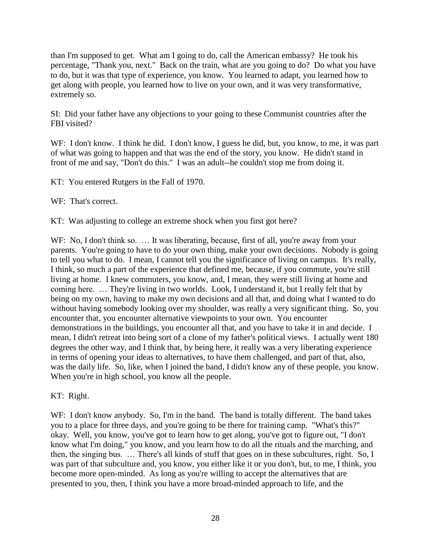than I'm supposed to get. What am I going to do, call the American embassy? He took his percentage, "Thank you, next." Back on the train, what are you going to do? Do what you have to do, but it was that type of experience, you know. You learned to adapt, you learned how to get along with people, you learned how to live on your own, and it was very transformative, extremely so.

SI: Did your father have any objections to your going to these Communist countries after the FBI visited?

WF: I don't know. I think he did. I don't know, I guess he did, but, you know, to me, it was part of what was going to happen and that was the end of the story, you know. He didn't stand in front of me and say, "Don't do this." I was an adult--he couldn't stop me from doing it.

KT: You entered Rutgers in the Fall of 1970.

WF: That's correct.

KT: Was adjusting to college an extreme shock when you first got here?

WF: No, I don't think so. ... It was liberating, because, first of all, you're away from your parents. You're going to have to do your own thing, make your own decisions. Nobody is going to tell you what to do. I mean, I cannot tell you the significance of living on campus. It's really, I think, so much a part of the experience that defined me, because, if you commute, you're still living at home. I knew commuters, you know, and, I mean, they were still living at home and coming here. … They're living in two worlds. Look, I understand it, but I really felt that by being on my own, having to make my own decisions and all that, and doing what I wanted to do without having somebody looking over my shoulder, was really a very significant thing. So, you encounter that, you encounter alternative viewpoints to your own. You encounter demonstrations in the buildings, you encounter all that, and you have to take it in and decide. I mean, I didn't retreat into being sort of a clone of my father's political views. I actually went 180 degrees the other way, and I think that, by being here, it really was a very liberating experience in terms of opening your ideas to alternatives, to have them challenged, and part of that, also, was the daily life. So, like, when I joined the band, I didn't know any of these people, you know. When you're in high school, you know all the people.

KT: Right.

WF: I don't know anybody. So, I'm in the band. The band is totally different. The band takes you to a place for three days, and you're going to be there for training camp. "What's this?" okay. Well, you know, you've got to learn how to get along, you've got to figure out, "I don't know what I'm doing," you know, and you learn how to do all the rituals and the marching, and then, the singing bus. … There's all kinds of stuff that goes on in these subcultures, right. So, I was part of that subculture and, you know, you either like it or you don't, but, to me, I think, you become more open-minded. As long as you're willing to accept the alternatives that are presented to you, then, I think you have a more broad-minded approach to life, and the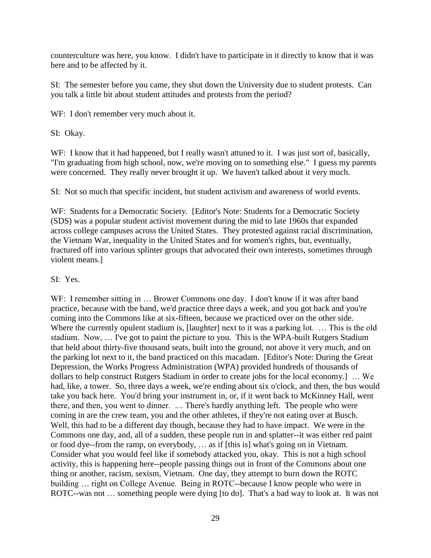counterculture was here, you know. I didn't have to participate in it directly to know that it was here and to be affected by it.

SI: The semester before you came, they shut down the University due to student protests. Can you talk a little bit about student attitudes and protests from the period?

WF: I don't remember very much about it.

SI: Okay.

WF: I know that it had happened, but I really wasn't attuned to it. I was just sort of, basically, "I'm graduating from high school, now, we're moving on to something else." I guess my parents were concerned. They really never brought it up. We haven't talked about it very much.

SI: Not so much that specific incident, but student activism and awareness of world events.

WF: Students for a Democratic Society. [Editor's Note: Students for a Democratic Society (SDS) was a popular student activist movement during the mid to late 1960s that expanded across college campuses across the United States. They protested against racial discrimination, the Vietnam War, inequality in the United States and for women's rights, but, eventually, fractured off into various splinter groups that advocated their own interests, sometimes through violent means.]

## SI: Yes.

WF: I remember sitting in ... Brower Commons one day. I don't know if it was after band practice, because with the band, we'd practice three days a week, and you got back and you're coming into the Commons like at six-fifteen, because we practiced over on the other side. Where the currently opulent stadium is, [laughter] next to it was a parking lot. ... This is the old stadium. Now, … I've got to paint the picture to you. This is the WPA-built Rutgers Stadium that held about thirty-five thousand seats, built into the ground, not above it very much, and on the parking lot next to it, the band practiced on this macadam. [Editor's Note: During the Great Depression, the Works Progress Administration (WPA) provided hundreds of thousands of dollars to help construct Rutgers Stadium in order to create jobs for the local economy.] … We had, like, a tower. So, three days a week, we're ending about six o'clock, and then, the bus would take you back here. You'd bring your instrument in, or, if it went back to McKinney Hall, went there, and then, you went to dinner. … There's hardly anything left. The people who were coming in are the crew team, you and the other athletes, if they're not eating over at Busch. Well, this had to be a different day though, because they had to have impact. We were in the Commons one day, and, all of a sudden, these people run in and splatter--it was either red paint or food dye--from the ramp, on everybody, … as if [this is] what's going on in Vietnam. Consider what you would feel like if somebody attacked you, okay. This is not a high school activity, this is happening here--people passing things out in front of the Commons about one thing or another, racism, sexism, Vietnam. One day, they attempt to burn down the ROTC building … right on College Avenue. Being in ROTC--because I know people who were in ROTC--was not ... something people were dying [to do]. That's a bad way to look at. It was not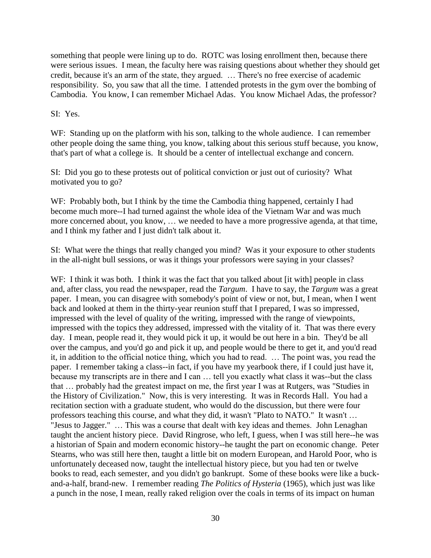something that people were lining up to do. ROTC was losing enrollment then, because there were serious issues. I mean, the faculty here was raising questions about whether they should get credit, because it's an arm of the state, they argued. … There's no free exercise of academic responsibility. So, you saw that all the time. I attended protests in the gym over the bombing of Cambodia. You know, I can remember Michael Adas. You know Michael Adas, the professor?

SI: Yes.

WF: Standing up on the platform with his son, talking to the whole audience. I can remember other people doing the same thing, you know, talking about this serious stuff because, you know, that's part of what a college is. It should be a center of intellectual exchange and concern.

SI: Did you go to these protests out of political conviction or just out of curiosity? What motivated you to go?

WF: Probably both, but I think by the time the Cambodia thing happened, certainly I had become much more--I had turned against the whole idea of the Vietnam War and was much more concerned about, you know, … we needed to have a more progressive agenda, at that time, and I think my father and I just didn't talk about it.

SI: What were the things that really changed you mind? Was it your exposure to other students in the all-night bull sessions, or was it things your professors were saying in your classes?

WF: I think it was both. I think it was the fact that you talked about [it with] people in class and, after class, you read the newspaper, read the *Targum*. I have to say, the *Targum* was a great paper. I mean, you can disagree with somebody's point of view or not, but, I mean, when I went back and looked at them in the thirty-year reunion stuff that I prepared, I was so impressed, impressed with the level of quality of the writing, impressed with the range of viewpoints, impressed with the topics they addressed, impressed with the vitality of it. That was there every day. I mean, people read it, they would pick it up, it would be out here in a bin. They'd be all over the campus, and you'd go and pick it up, and people would be there to get it, and you'd read it, in addition to the official notice thing, which you had to read. … The point was, you read the paper. I remember taking a class--in fact, if you have my yearbook there, if I could just have it, because my transcripts are in there and I can … tell you exactly what class it was--but the class that … probably had the greatest impact on me, the first year I was at Rutgers, was "Studies in the History of Civilization." Now, this is very interesting. It was in Records Hall. You had a recitation section with a graduate student, who would do the discussion, but there were four professors teaching this course, and what they did, it wasn't "Plato to NATO." It wasn't … "Jesus to Jagger." … This was a course that dealt with key ideas and themes. John Lenaghan taught the ancient history piece. David Ringrose, who left, I guess, when I was still here--he was a historian of Spain and modern economic history--he taught the part on economic change. Peter Stearns, who was still here then, taught a little bit on modern European, and Harold Poor, who is unfortunately deceased now, taught the intellectual history piece, but you had ten or twelve books to read, each semester, and you didn't go bankrupt. Some of these books were like a buckand-a-half, brand-new. I remember reading *The Politics of Hysteria* (1965), which just was like a punch in the nose, I mean, really raked religion over the coals in terms of its impact on human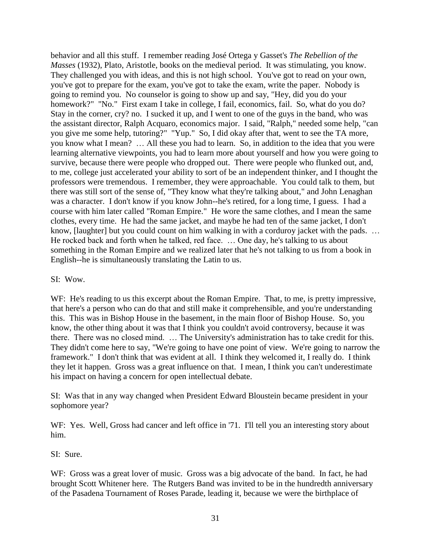behavior and all this stuff. I remember reading José Ortega y Gasset's *The Rebellion of the Masses* (1932), Plato, Aristotle, books on the medieval period. It was stimulating, you know. They challenged you with ideas, and this is not high school. You've got to read on your own, you've got to prepare for the exam, you've got to take the exam, write the paper. Nobody is going to remind you. No counselor is going to show up and say, "Hey, did you do your homework?" "No." First exam I take in college, I fail, economics, fail. So, what do you do? Stay in the corner, cry? no. I sucked it up, and I went to one of the guys in the band, who was the assistant director, Ralph Acquaro, economics major. I said, "Ralph," needed some help, "can you give me some help, tutoring?" "Yup." So, I did okay after that, went to see the TA more, you know what I mean? … All these you had to learn. So, in addition to the idea that you were learning alternative viewpoints, you had to learn more about yourself and how you were going to survive, because there were people who dropped out. There were people who flunked out, and, to me, college just accelerated your ability to sort of be an independent thinker, and I thought the professors were tremendous. I remember, they were approachable. You could talk to them, but there was still sort of the sense of, "They know what they're talking about," and John Lenaghan was a character. I don't know if you know John--he's retired, for a long time, I guess. I had a course with him later called "Roman Empire." He wore the same clothes, and I mean the same clothes, every time. He had the same jacket, and maybe he had ten of the same jacket, I don't know, [laughter] but you could count on him walking in with a corduroy jacket with the pads. ... He rocked back and forth when he talked, red face. … One day, he's talking to us about something in the Roman Empire and we realized later that he's not talking to us from a book in English--he is simultaneously translating the Latin to us.

## SI: Wow.

WF: He's reading to us this excerpt about the Roman Empire. That, to me, is pretty impressive, that here's a person who can do that and still make it comprehensible, and you're understanding this. This was in Bishop House in the basement, in the main floor of Bishop House. So, you know, the other thing about it was that I think you couldn't avoid controversy, because it was there. There was no closed mind. … The University's administration has to take credit for this. They didn't come here to say, "We're going to have one point of view. We're going to narrow the framework." I don't think that was evident at all. I think they welcomed it, I really do. I think they let it happen. Gross was a great influence on that. I mean, I think you can't underestimate his impact on having a concern for open intellectual debate.

SI: Was that in any way changed when President Edward Bloustein became president in your sophomore year?

WF: Yes. Well, Gross had cancer and left office in '71. I'll tell you an interesting story about him.

## SI: Sure.

WF: Gross was a great lover of music. Gross was a big advocate of the band. In fact, he had brought Scott Whitener here. The Rutgers Band was invited to be in the hundredth anniversary of the Pasadena Tournament of Roses Parade, leading it, because we were the birthplace of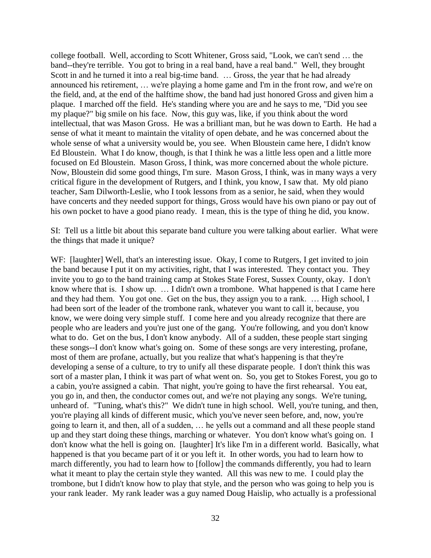college football. Well, according to Scott Whitener, Gross said, "Look, we can't send … the band--they're terrible. You got to bring in a real band, have a real band." Well, they brought Scott in and he turned it into a real big-time band. ... Gross, the year that he had already announced his retirement, … we're playing a home game and I'm in the front row, and we're on the field, and, at the end of the halftime show, the band had just honored Gross and given him a plaque. I marched off the field. He's standing where you are and he says to me, "Did you see my plaque?" big smile on his face. Now, this guy was, like, if you think about the word intellectual, that was Mason Gross. He was a brilliant man, but he was down to Earth. He had a sense of what it meant to maintain the vitality of open debate, and he was concerned about the whole sense of what a university would be, you see. When Bloustein came here, I didn't know Ed Bloustein. What I do know, though, is that I think he was a little less open and a little more focused on Ed Bloustein. Mason Gross, I think, was more concerned about the whole picture. Now, Bloustein did some good things, I'm sure. Mason Gross, I think, was in many ways a very critical figure in the development of Rutgers, and I think, you know, I saw that. My old piano teacher, Sam Dilworth-Leslie, who I took lessons from as a senior, he said, when they would have concerts and they needed support for things, Gross would have his own piano or pay out of his own pocket to have a good piano ready. I mean, this is the type of thing he did, you know.

SI: Tell us a little bit about this separate band culture you were talking about earlier. What were the things that made it unique?

WF: [laughter] Well, that's an interesting issue. Okay, I come to Rutgers, I get invited to join the band because I put it on my activities, right, that I was interested. They contact you. They invite you to go to the band training camp at Stokes State Forest, Sussex County, okay. I don't know where that is. I show up. … I didn't own a trombone. What happened is that I came here and they had them. You got one. Get on the bus, they assign you to a rank. … High school, I had been sort of the leader of the trombone rank, whatever you want to call it, because, you know, we were doing very simple stuff. I come here and you already recognize that there are people who are leaders and you're just one of the gang. You're following, and you don't know what to do. Get on the bus, I don't know anybody. All of a sudden, these people start singing these songs--I don't know what's going on. Some of these songs are very interesting, profane, most of them are profane, actually, but you realize that what's happening is that they're developing a sense of a culture, to try to unify all these disparate people. I don't think this was sort of a master plan, I think it was part of what went on. So, you get to Stokes Forest, you go to a cabin, you're assigned a cabin. That night, you're going to have the first rehearsal. You eat, you go in, and then, the conductor comes out, and we're not playing any songs. We're tuning, unheard of. "Tuning, what's this?" We didn't tune in high school. Well, you're tuning, and then, you're playing all kinds of different music, which you've never seen before, and, now, you're going to learn it, and then, all of a sudden, … he yells out a command and all these people stand up and they start doing these things, marching or whatever. You don't know what's going on. I don't know what the hell is going on. [laughter] It's like I'm in a different world. Basically, what happened is that you became part of it or you left it. In other words, you had to learn how to march differently, you had to learn how to [follow] the commands differently, you had to learn what it meant to play the certain style they wanted. All this was new to me. I could play the trombone, but I didn't know how to play that style, and the person who was going to help you is your rank leader. My rank leader was a guy named Doug Haislip, who actually is a professional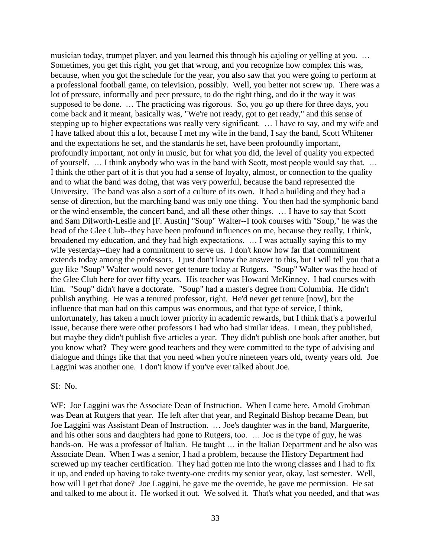musician today, trumpet player, and you learned this through his cajoling or yelling at you. … Sometimes, you get this right, you get that wrong, and you recognize how complex this was, because, when you got the schedule for the year, you also saw that you were going to perform at a professional football game, on television, possibly. Well, you better not screw up. There was a lot of pressure, informally and peer pressure, to do the right thing, and do it the way it was supposed to be done. … The practicing was rigorous. So, you go up there for three days, you come back and it meant, basically was, "We're not ready, got to get ready," and this sense of stepping up to higher expectations was really very significant. … I have to say, and my wife and I have talked about this a lot, because I met my wife in the band, I say the band, Scott Whitener and the expectations he set, and the standards he set, have been profoundly important, profoundly important, not only in music, but for what you did, the level of quality you expected of yourself. … I think anybody who was in the band with Scott, most people would say that. … I think the other part of it is that you had a sense of loyalty, almost, or connection to the quality and to what the band was doing, that was very powerful, because the band represented the University. The band was also a sort of a culture of its own. It had a building and they had a sense of direction, but the marching band was only one thing. You then had the symphonic band or the wind ensemble, the concert band, and all these other things. … I have to say that Scott and Sam Dilworth-Leslie and [F. Austin] "Soup" Walter--I took courses with "Soup," he was the head of the Glee Club--they have been profound influences on me, because they really, I think, broadened my education, and they had high expectations. … I was actually saying this to my wife yesterday--they had a commitment to serve us. I don't know how far that commitment extends today among the professors. I just don't know the answer to this, but I will tell you that a guy like "Soup" Walter would never get tenure today at Rutgers. "Soup" Walter was the head of the Glee Club here for over fifty years. His teacher was Howard McKinney. I had courses with him. "Soup" didn't have a doctorate. "Soup" had a master's degree from Columbia. He didn't publish anything. He was a tenured professor, right. He'd never get tenure [now], but the influence that man had on this campus was enormous, and that type of service, I think, unfortunately, has taken a much lower priority in academic rewards, but I think that's a powerful issue, because there were other professors I had who had similar ideas. I mean, they published, but maybe they didn't publish five articles a year. They didn't publish one book after another, but you know what? They were good teachers and they were committed to the type of advising and dialogue and things like that that you need when you're nineteen years old, twenty years old. Joe Laggini was another one. I don't know if you've ever talked about Joe.

### SI: No.

WF: Joe Laggini was the Associate Dean of Instruction. When I came here, Arnold Grobman was Dean at Rutgers that year. He left after that year, and Reginald Bishop became Dean, but Joe Laggini was Assistant Dean of Instruction. … Joe's daughter was in the band, Marguerite, and his other sons and daughters had gone to Rutgers, too. … Joe is the type of guy, he was hands-on. He was a professor of Italian. He taught ... in the Italian Department and he also was Associate Dean. When I was a senior, I had a problem, because the History Department had screwed up my teacher certification. They had gotten me into the wrong classes and I had to fix it up, and ended up having to take twenty-one credits my senior year, okay, last semester. Well, how will I get that done? Joe Laggini, he gave me the override, he gave me permission. He sat and talked to me about it. He worked it out. We solved it. That's what you needed, and that was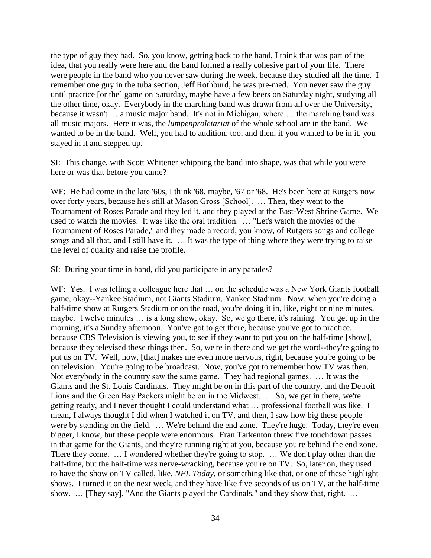the type of guy they had. So, you know, getting back to the band, I think that was part of the idea, that you really were here and the band formed a really cohesive part of your life. There were people in the band who you never saw during the week, because they studied all the time. I remember one guy in the tuba section, Jeff Rothburd, he was pre-med. You never saw the guy until practice [or the] game on Saturday, maybe have a few beers on Saturday night, studying all the other time, okay. Everybody in the marching band was drawn from all over the University, because it wasn't … a music major band. It's not in Michigan, where … the marching band was all music majors. Here it was, the *lumpenproletariat* of the whole school are in the band. We wanted to be in the band. Well, you had to audition, too, and then, if you wanted to be in it, you stayed in it and stepped up.

SI: This change, with Scott Whitener whipping the band into shape, was that while you were here or was that before you came?

WF: He had come in the late '60s, I think '68, maybe, '67 or '68. He's been here at Rutgers now over forty years, because he's still at Mason Gross [School]. … Then, they went to the Tournament of Roses Parade and they led it, and they played at the East-West Shrine Game. We used to watch the movies. It was like the oral tradition. … "Let's watch the movies of the Tournament of Roses Parade," and they made a record, you know, of Rutgers songs and college songs and all that, and I still have it. … It was the type of thing where they were trying to raise the level of quality and raise the profile.

SI: During your time in band, did you participate in any parades?

WF: Yes. I was telling a colleague here that ... on the schedule was a New York Giants football game, okay--Yankee Stadium, not Giants Stadium, Yankee Stadium. Now, when you're doing a half-time show at Rutgers Stadium or on the road, you're doing it in, like, eight or nine minutes, maybe. Twelve minutes … is a long show, okay. So, we go there, it's raining. You get up in the morning, it's a Sunday afternoon. You've got to get there, because you've got to practice, because CBS Television is viewing you, to see if they want to put you on the half-time [show], because they televised these things then. So, we're in there and we get the word--they're going to put us on TV. Well, now, [that] makes me even more nervous, right, because you're going to be on television. You're going to be broadcast. Now, you've got to remember how TV was then. Not everybody in the country saw the same game. They had regional games. … It was the Giants and the St. Louis Cardinals. They might be on in this part of the country, and the Detroit Lions and the Green Bay Packers might be on in the Midwest. … So, we get in there, we're getting ready, and I never thought I could understand what … professional football was like. I mean, I always thought I did when I watched it on TV, and then, I saw how big these people were by standing on the field. … We're behind the end zone. They're huge. Today, they're even bigger, I know, but these people were enormous. Fran Tarkenton threw five touchdown passes in that game for the Giants, and they're running right at you, because you're behind the end zone. There they come. … I wondered whether they're going to stop. … We don't play other than the half-time, but the half-time was nerve-wracking, because you're on TV. So, later on, they used to have the show on TV called, like, *NFL Today*, or something like that, or one of these highlight shows. I turned it on the next week, and they have like five seconds of us on TV, at the half-time show. ... [They say], "And the Giants played the Cardinals," and they show that, right. ...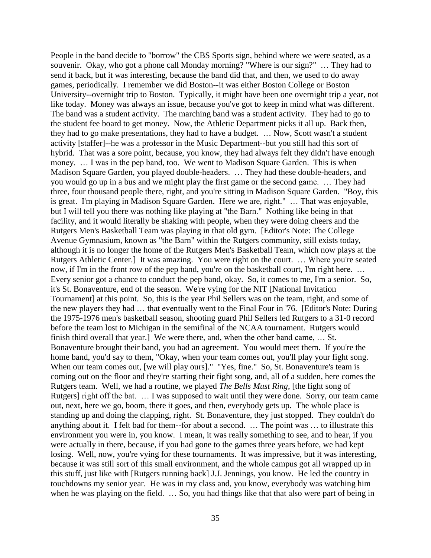People in the band decide to "borrow" the CBS Sports sign, behind where we were seated, as a souvenir. Okay, who got a phone call Monday morning? "Where is our sign?" … They had to send it back, but it was interesting, because the band did that, and then, we used to do away games, periodically. I remember we did Boston--it was either Boston College or Boston University--overnight trip to Boston. Typically, it might have been one overnight trip a year, not like today. Money was always an issue, because you've got to keep in mind what was different. The band was a student activity. The marching band was a student activity. They had to go to the student fee board to get money. Now, the Athletic Department picks it all up. Back then, they had to go make presentations, they had to have a budget. … Now, Scott wasn't a student activity [staffer]--he was a professor in the Music Department--but you still had this sort of hybrid. That was a sore point, because, you know, they had always felt they didn't have enough money. … I was in the pep band, too. We went to Madison Square Garden. This is when Madison Square Garden, you played double-headers. … They had these double-headers, and you would go up in a bus and we might play the first game or the second game. … They had three, four thousand people there, right, and you're sitting in Madison Square Garden. "Boy, this is great. I'm playing in Madison Square Garden. Here we are, right." … That was enjoyable, but I will tell you there was nothing like playing at "the Barn." Nothing like being in that facility, and it would literally be shaking with people, when they were doing cheers and the Rutgers Men's Basketball Team was playing in that old gym. [Editor's Note: The College Avenue Gymnasium, known as "the Barn" within the Rutgers community, still exists today, although it is no longer the home of the Rutgers Men's Basketball Team, which now plays at the Rutgers Athletic Center.] It was amazing. You were right on the court. … Where you're seated now, if I'm in the front row of the pep band, you're on the basketball court, I'm right here. ... Every senior got a chance to conduct the pep band, okay. So, it comes to me, I'm a senior. So, it's St. Bonaventure, end of the season. We're vying for the NIT [National Invitation Tournament] at this point. So, this is the year Phil Sellers was on the team, right, and some of the new players they had … that eventually went to the Final Four in '76. [Editor's Note: During the 1975-1976 men's basketball season, shooting guard Phil Sellers led Rutgers to a 31-0 record before the team lost to Michigan in the semifinal of the NCAA tournament. Rutgers would finish third overall that year.] We were there, and, when the other band came, … St. Bonaventure brought their band, you had an agreement. You would meet them. If you're the home band, you'd say to them, "Okay, when your team comes out, you'll play your fight song. When our team comes out, [we will play ours]." "Yes, fine." So, St. Bonaventure's team is coming out on the floor and they're starting their fight song, and, all of a sudden, here comes the Rutgers team. Well, we had a routine, we played *The Bells Must Ring*, [the fight song of Rutgers] right off the bat. … I was supposed to wait until they were done. Sorry, our team came out, next, here we go, boom, there it goes, and then, everybody gets up. The whole place is standing up and doing the clapping, right. St. Bonaventure, they just stopped. They couldn't do anything about it. I felt bad for them--for about a second. … The point was … to illustrate this environment you were in, you know. I mean, it was really something to see, and to hear, if you were actually in there, because, if you had gone to the games three years before, we had kept losing. Well, now, you're vying for these tournaments. It was impressive, but it was interesting, because it was still sort of this small environment, and the whole campus got all wrapped up in this stuff, just like with [Rutgers running back] J.J. Jennings, you know. He led the country in touchdowns my senior year. He was in my class and, you know, everybody was watching him when he was playing on the field. ... So, you had things like that that also were part of being in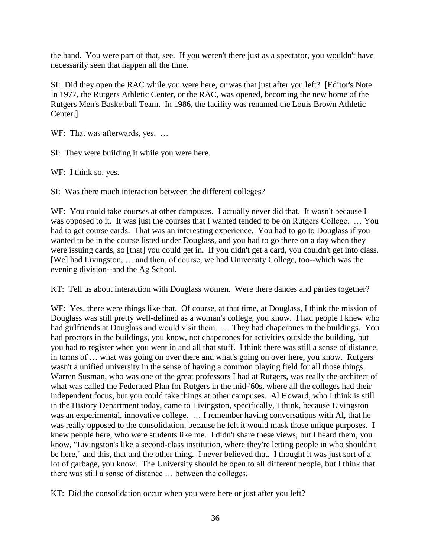the band. You were part of that, see. If you weren't there just as a spectator, you wouldn't have necessarily seen that happen all the time.

SI: Did they open the RAC while you were here, or was that just after you left? [Editor's Note: In 1977, the Rutgers Athletic Center, or the RAC, was opened, becoming the new home of the Rutgers Men's Basketball Team. In 1986, the facility was renamed the Louis Brown Athletic Center.]

WF: That was afterwards, yes. ...

SI: They were building it while you were here.

WF: I think so, yes.

SI: Was there much interaction between the different colleges?

WF: You could take courses at other campuses. I actually never did that. It wasn't because I was opposed to it. It was just the courses that I wanted tended to be on Rutgers College. … You had to get course cards. That was an interesting experience. You had to go to Douglass if you wanted to be in the course listed under Douglass, and you had to go there on a day when they were issuing cards, so [that] you could get in. If you didn't get a card, you couldn't get into class. [We] had Livingston, … and then, of course, we had University College, too--which was the evening division--and the Ag School.

KT: Tell us about interaction with Douglass women. Were there dances and parties together?

WF: Yes, there were things like that. Of course, at that time, at Douglass, I think the mission of Douglass was still pretty well-defined as a woman's college, you know. I had people I knew who had girlfriends at Douglass and would visit them. ... They had chaperones in the buildings. You had proctors in the buildings, you know, not chaperones for activities outside the building, but you had to register when you went in and all that stuff. I think there was still a sense of distance, in terms of … what was going on over there and what's going on over here, you know. Rutgers wasn't a unified university in the sense of having a common playing field for all those things. Warren Susman, who was one of the great professors I had at Rutgers, was really the architect of what was called the Federated Plan for Rutgers in the mid-'60s, where all the colleges had their independent focus, but you could take things at other campuses. Al Howard, who I think is still in the History Department today, came to Livingston, specifically, I think, because Livingston was an experimental, innovative college. … I remember having conversations with Al, that he was really opposed to the consolidation, because he felt it would mask those unique purposes. I knew people here, who were students like me. I didn't share these views, but I heard them, you know, "Livingston's like a second-class institution, where they're letting people in who shouldn't be here," and this, that and the other thing. I never believed that. I thought it was just sort of a lot of garbage, you know. The University should be open to all different people, but I think that there was still a sense of distance … between the colleges.

KT: Did the consolidation occur when you were here or just after you left?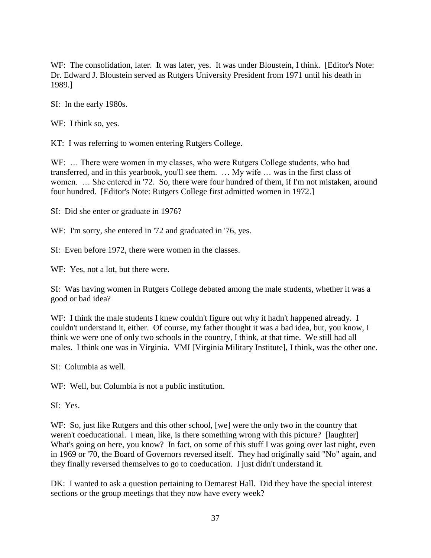WF: The consolidation, later. It was later, yes. It was under Bloustein, I think. [Editor's Note: Dr. Edward J. Bloustein served as Rutgers University President from 1971 until his death in 1989.]

SI: In the early 1980s.

WF: I think so, yes.

KT: I was referring to women entering Rutgers College.

WF: ... There were women in my classes, who were Rutgers College students, who had transferred, and in this yearbook, you'll see them. … My wife … was in the first class of women. … She entered in '72. So, there were four hundred of them, if I'm not mistaken, around four hundred. [Editor's Note: Rutgers College first admitted women in 1972.]

SI: Did she enter or graduate in 1976?

WF: I'm sorry, she entered in '72 and graduated in '76, yes.

SI: Even before 1972, there were women in the classes.

WF: Yes, not a lot, but there were.

SI: Was having women in Rutgers College debated among the male students, whether it was a good or bad idea?

WF: I think the male students I knew couldn't figure out why it hadn't happened already. I couldn't understand it, either. Of course, my father thought it was a bad idea, but, you know, I think we were one of only two schools in the country, I think, at that time. We still had all males. I think one was in Virginia. VMI [Virginia Military Institute], I think, was the other one.

SI: Columbia as well.

WF: Well, but Columbia is not a public institution.

SI: Yes.

WF: So, just like Rutgers and this other school, [we] were the only two in the country that weren't coeducational. I mean, like, is there something wrong with this picture? [laughter] What's going on here, you know? In fact, on some of this stuff I was going over last night, even in 1969 or '70, the Board of Governors reversed itself. They had originally said "No" again, and they finally reversed themselves to go to coeducation. I just didn't understand it.

DK: I wanted to ask a question pertaining to Demarest Hall. Did they have the special interest sections or the group meetings that they now have every week?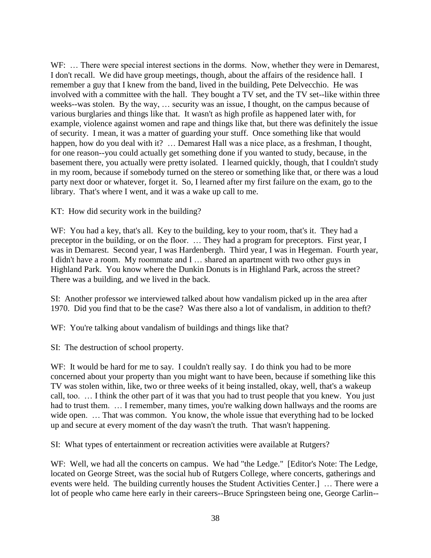WF: ... There were special interest sections in the dorms. Now, whether they were in Demarest, I don't recall. We did have group meetings, though, about the affairs of the residence hall. I remember a guy that I knew from the band, lived in the building, Pete Delvecchio. He was involved with a committee with the hall. They bought a TV set, and the TV set--like within three weeks--was stolen. By the way, … security was an issue, I thought, on the campus because of various burglaries and things like that. It wasn't as high profile as happened later with, for example, violence against women and rape and things like that, but there was definitely the issue of security. I mean, it was a matter of guarding your stuff. Once something like that would happen, how do you deal with it? ... Demarest Hall was a nice place, as a freshman, I thought, for one reason--you could actually get something done if you wanted to study, because, in the basement there, you actually were pretty isolated. I learned quickly, though, that I couldn't study in my room, because if somebody turned on the stereo or something like that, or there was a loud party next door or whatever, forget it. So, I learned after my first failure on the exam, go to the library. That's where I went, and it was a wake up call to me.

KT: How did security work in the building?

WF: You had a key, that's all. Key to the building, key to your room, that's it. They had a preceptor in the building, or on the floor. … They had a program for preceptors. First year, I was in Demarest. Second year, I was Hardenbergh. Third year, I was in Hegeman. Fourth year, I didn't have a room. My roommate and I … shared an apartment with two other guys in Highland Park. You know where the Dunkin Donuts is in Highland Park, across the street? There was a building, and we lived in the back.

SI: Another professor we interviewed talked about how vandalism picked up in the area after 1970. Did you find that to be the case? Was there also a lot of vandalism, in addition to theft?

WF: You're talking about vandalism of buildings and things like that?

SI: The destruction of school property.

WF: It would be hard for me to say. I couldn't really say. I do think you had to be more concerned about your property than you might want to have been, because if something like this TV was stolen within, like, two or three weeks of it being installed, okay, well, that's a wakeup call, too. … I think the other part of it was that you had to trust people that you knew. You just had to trust them. ... I remember, many times, you're walking down hallways and the rooms are wide open. ... That was common. You know, the whole issue that everything had to be locked up and secure at every moment of the day wasn't the truth. That wasn't happening.

SI: What types of entertainment or recreation activities were available at Rutgers?

WF: Well, we had all the concerts on campus. We had "the Ledge." [Editor's Note: The Ledge, located on George Street, was the social hub of Rutgers College, where concerts, gatherings and events were held. The building currently houses the Student Activities Center.] … There were a lot of people who came here early in their careers--Bruce Springsteen being one, George Carlin--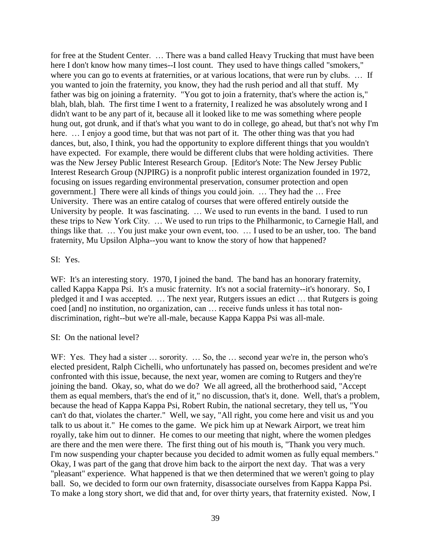for free at the Student Center. … There was a band called Heavy Trucking that must have been here I don't know how many times--I lost count. They used to have things called "smokers," where you can go to events at fraternities, or at various locations, that were run by clubs. ... If you wanted to join the fraternity, you know, they had the rush period and all that stuff. My father was big on joining a fraternity. "You got to join a fraternity, that's where the action is," blah, blah, blah. The first time I went to a fraternity, I realized he was absolutely wrong and I didn't want to be any part of it, because all it looked like to me was something where people hung out, got drunk, and if that's what you want to do in college, go ahead, but that's not why I'm here. ... I enjoy a good time, but that was not part of it. The other thing was that you had dances, but, also, I think, you had the opportunity to explore different things that you wouldn't have expected. For example, there would be different clubs that were holding activities. There was the New Jersey Public Interest Research Group. [Editor's Note: The New Jersey Public Interest Research Group (NJPIRG) is a nonprofit public interest organization founded in 1972, focusing on issues regarding environmental preservation, consumer protection and open government.] There were all kinds of things you could join. … They had the … Free University. There was an entire catalog of courses that were offered entirely outside the University by people. It was fascinating. … We used to run events in the band. I used to run these trips to New York City. … We used to run trips to the Philharmonic, to Carnegie Hall, and things like that. … You just make your own event, too. … I used to be an usher, too. The band fraternity, Mu Upsilon Alpha--you want to know the story of how that happened?

## SI: Yes.

WF: It's an interesting story. 1970, I joined the band. The band has an honorary fraternity, called Kappa Kappa Psi. It's a music fraternity. It's not a social fraternity--it's honorary. So, I pledged it and I was accepted. … The next year, Rutgers issues an edict … that Rutgers is going coed [and] no institution, no organization, can … receive funds unless it has total nondiscrimination, right--but we're all-male, because Kappa Kappa Psi was all-male.

## SI: On the national level?

WF: Yes. They had a sister ... sorority. ... So, the ... second year we're in, the person who's elected president, Ralph Cichelli, who unfortunately has passed on, becomes president and we're confronted with this issue, because, the next year, women are coming to Rutgers and they're joining the band. Okay, so, what do we do? We all agreed, all the brotherhood said, "Accept them as equal members, that's the end of it," no discussion, that's it, done. Well, that's a problem, because the head of Kappa Kappa Psi, Robert Rubin, the national secretary, they tell us, "You can't do that, violates the charter." Well, we say, "All right, you come here and visit us and you talk to us about it." He comes to the game. We pick him up at Newark Airport, we treat him royally, take him out to dinner. He comes to our meeting that night, where the women pledges are there and the men were there. The first thing out of his mouth is, "Thank you very much. I'm now suspending your chapter because you decided to admit women as fully equal members." Okay, I was part of the gang that drove him back to the airport the next day. That was a very "pleasant" experience. What happened is that we then determined that we weren't going to play ball. So, we decided to form our own fraternity, disassociate ourselves from Kappa Kappa Psi. To make a long story short, we did that and, for over thirty years, that fraternity existed. Now, I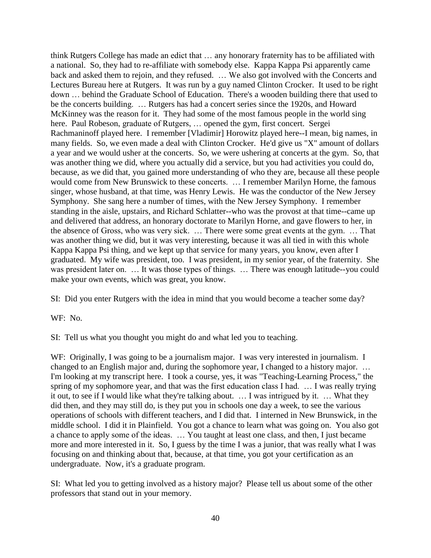think Rutgers College has made an edict that … any honorary fraternity has to be affiliated with a national. So, they had to re-affiliate with somebody else. Kappa Kappa Psi apparently came back and asked them to rejoin, and they refused. … We also got involved with the Concerts and Lectures Bureau here at Rutgers. It was run by a guy named Clinton Crocker. It used to be right down … behind the Graduate School of Education. There's a wooden building there that used to be the concerts building. … Rutgers has had a concert series since the 1920s, and Howard McKinney was the reason for it. They had some of the most famous people in the world sing here. Paul Robeson, graduate of Rutgers, ... opened the gym, first concert. Sergei Rachmaninoff played here. I remember [Vladimir] Horowitz played here--I mean, big names, in many fields. So, we even made a deal with Clinton Crocker. He'd give us "X" amount of dollars a year and we would usher at the concerts. So, we were ushering at concerts at the gym. So, that was another thing we did, where you actually did a service, but you had activities you could do, because, as we did that, you gained more understanding of who they are, because all these people would come from New Brunswick to these concerts. … I remember Marilyn Horne, the famous singer, whose husband, at that time, was Henry Lewis. He was the conductor of the New Jersey Symphony. She sang here a number of times, with the New Jersey Symphony. I remember standing in the aisle, upstairs, and Richard Schlatter--who was the provost at that time--came up and delivered that address, an honorary doctorate to Marilyn Horne, and gave flowers to her, in the absence of Gross, who was very sick. … There were some great events at the gym. … That was another thing we did, but it was very interesting, because it was all tied in with this whole Kappa Kappa Psi thing, and we kept up that service for many years, you know, even after I graduated. My wife was president, too. I was president, in my senior year, of the fraternity. She was president later on. ... It was those types of things. ... There was enough latitude--you could make your own events, which was great, you know.

SI: Did you enter Rutgers with the idea in mind that you would become a teacher some day?

WF: No.

SI: Tell us what you thought you might do and what led you to teaching.

WF: Originally, I was going to be a journalism major. I was very interested in journalism. I changed to an English major and, during the sophomore year, I changed to a history major. … I'm looking at my transcript here. I took a course, yes, it was "Teaching-Learning Process," the spring of my sophomore year, and that was the first education class I had. … I was really trying it out, to see if I would like what they're talking about. … I was intrigued by it. … What they did then, and they may still do, is they put you in schools one day a week, to see the various operations of schools with different teachers, and I did that. I interned in New Brunswick, in the middle school. I did it in Plainfield. You got a chance to learn what was going on. You also got a chance to apply some of the ideas. … You taught at least one class, and then, I just became more and more interested in it. So, I guess by the time I was a junior, that was really what I was focusing on and thinking about that, because, at that time, you got your certification as an undergraduate. Now, it's a graduate program.

SI: What led you to getting involved as a history major? Please tell us about some of the other professors that stand out in your memory.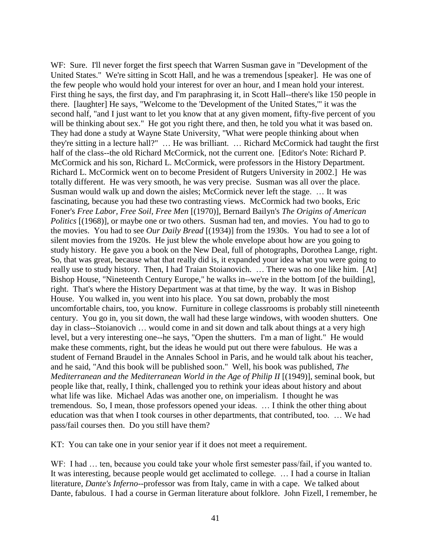WF: Sure. I'll never forget the first speech that Warren Susman gave in "Development of the United States." We're sitting in Scott Hall, and he was a tremendous [speaker]. He was one of the few people who would hold your interest for over an hour, and I mean hold your interest. First thing he says, the first day, and I'm paraphrasing it, in Scott Hall--there's like 150 people in there. [laughter] He says, "Welcome to the 'Development of the United States,'" it was the second half, "and I just want to let you know that at any given moment, fifty-five percent of you will be thinking about sex." He got you right there, and then, he told you what it was based on. They had done a study at Wayne State University, "What were people thinking about when they're sitting in a lecture hall?" … He was brilliant. … Richard McCormick had taught the first half of the class--the old Richard McCormick, not the current one. [Editor's Note: Richard P. McCormick and his son, Richard L. McCormick, were professors in the History Department. Richard L. McCormick went on to become President of Rutgers University in 2002.] He was totally different. He was very smooth, he was very precise. Susman was all over the place. Susman would walk up and down the aisles; McCormick never left the stage. … It was fascinating, because you had these two contrasting views. McCormick had two books, Eric Foner's *Free Labor, Free Soil, Free Men* [(1970)], Bernard Bailyn's *The Origins of American Politics* [(1968)], or maybe one or two others. Susman had ten, and movies. You had to go to the movies. You had to see *Our Daily Bread* [(1934)] from the 1930s. You had to see a lot of silent movies from the 1920s. He just blew the whole envelope about how are you going to study history. He gave you a book on the New Deal, full of photographs, Dorothea Lange, right. So, that was great, because what that really did is, it expanded your idea what you were going to really use to study history. Then, I had Traian Stoianovich. … There was no one like him. [At] Bishop House, "Nineteenth Century Europe," he walks in--we're in the bottom [of the building], right. That's where the History Department was at that time, by the way. It was in Bishop House. You walked in, you went into his place. You sat down, probably the most uncomfortable chairs, too, you know. Furniture in college classrooms is probably still nineteenth century. You go in, you sit down, the wall had these large windows, with wooden shutters. One day in class--Stoianovich … would come in and sit down and talk about things at a very high level, but a very interesting one--he says, "Open the shutters. I'm a man of light." He would make these comments, right, but the ideas he would put out there were fabulous. He was a student of Fernand Braudel in the Annales School in Paris, and he would talk about his teacher, and he said, "And this book will be published soon." Well, his book was published, *The Mediterranean and the Mediterranean World in the Age of Philip II* [(1949)], seminal book, but people like that, really, I think, challenged you to rethink your ideas about history and about what life was like. Michael Adas was another one, on imperialism. I thought he was tremendous. So, I mean, those professors opened your ideas. … I think the other thing about education was that when I took courses in other departments, that contributed, too. … We had pass/fail courses then. Do you still have them?

KT: You can take one in your senior year if it does not meet a requirement.

WF: I had ... ten, because you could take your whole first semester pass/fail, if you wanted to. It was interesting, because people would get acclimated to college. … I had a course in Italian literature, *Dante's Inferno*--professor was from Italy, came in with a cape. We talked about Dante, fabulous. I had a course in German literature about folklore. John Fizell, I remember, he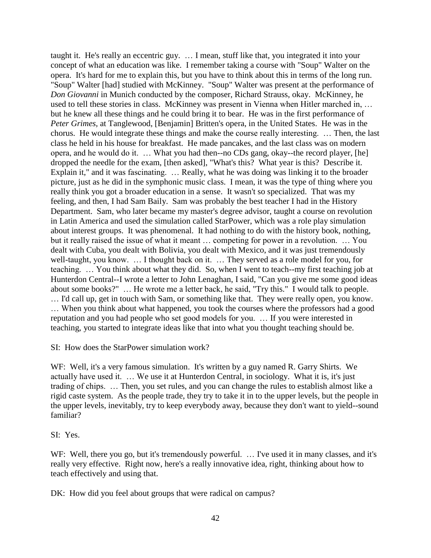taught it. He's really an eccentric guy. … I mean, stuff like that, you integrated it into your concept of what an education was like. I remember taking a course with "Soup" Walter on the opera. It's hard for me to explain this, but you have to think about this in terms of the long run. "Soup" Walter [had] studied with McKinney. "Soup" Walter was present at the performance of *Don Giovanni* in Munich conducted by the composer, Richard Strauss, okay. McKinney, he used to tell these stories in class. McKinney was present in Vienna when Hitler marched in, ... but he knew all these things and he could bring it to bear. He was in the first performance of *Peter Grimes,* at Tanglewood, [Benjamin] Britten's opera, in the United States. He was in the chorus. He would integrate these things and make the course really interesting. … Then, the last class he held in his house for breakfast. He made pancakes, and the last class was on modern opera, and he would do it. … What you had then--no CDs gang, okay--the record player, [he] dropped the needle for the exam, [then asked], "What's this? What year is this? Describe it. Explain it," and it was fascinating. … Really, what he was doing was linking it to the broader picture, just as he did in the symphonic music class. I mean, it was the type of thing where you really think you got a broader education in a sense. It wasn't so specialized. That was my feeling, and then, I had Sam Baily. Sam was probably the best teacher I had in the History Department. Sam, who later became my master's degree advisor, taught a course on revolution in Latin America and used the simulation called StarPower, which was a role play simulation about interest groups. It was phenomenal. It had nothing to do with the history book, nothing, but it really raised the issue of what it meant … competing for power in a revolution. … You dealt with Cuba, you dealt with Bolivia, you dealt with Mexico, and it was just tremendously well-taught, you know. … I thought back on it. … They served as a role model for you, for teaching. … You think about what they did. So, when I went to teach--my first teaching job at Hunterdon Central--I wrote a letter to John Lenaghan, I said, "Can you give me some good ideas about some books?" … He wrote me a letter back, he said, "Try this." I would talk to people. … I'd call up, get in touch with Sam, or something like that. They were really open, you know. … When you think about what happened, you took the courses where the professors had a good reputation and you had people who set good models for you. … If you were interested in teaching, you started to integrate ideas like that into what you thought teaching should be.

SI: How does the StarPower simulation work?

WF: Well, it's a very famous simulation. It's written by a guy named R. Garry Shirts. We actually have used it. … We use it at Hunterdon Central, in sociology. What it is, it's just trading of chips. … Then, you set rules, and you can change the rules to establish almost like a rigid caste system. As the people trade, they try to take it in to the upper levels, but the people in the upper levels, inevitably, try to keep everybody away, because they don't want to yield--sound familiar?

SI: Yes.

WF: Well, there you go, but it's tremendously powerful. ... I've used it in many classes, and it's really very effective. Right now, here's a really innovative idea, right, thinking about how to teach effectively and using that.

DK: How did you feel about groups that were radical on campus?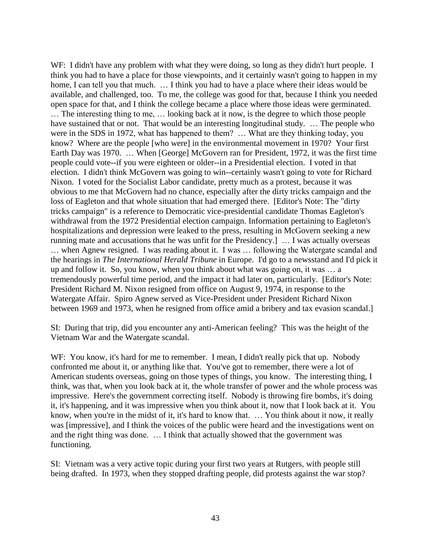WF: I didn't have any problem with what they were doing, so long as they didn't hurt people. I think you had to have a place for those viewpoints, and it certainly wasn't going to happen in my home, I can tell you that much. ... I think you had to have a place where their ideas would be available, and challenged, too. To me, the college was good for that, because I think you needed open space for that, and I think the college became a place where those ideas were germinated.

… The interesting thing to me, … looking back at it now, is the degree to which those people have sustained that or not. That would be an interesting longitudinal study. ... The people who were in the SDS in 1972, what has happened to them? … What are they thinking today, you know? Where are the people [who were] in the environmental movement in 1970? Your first Earth Day was 1970. … When [George] McGovern ran for President, 1972, it was the first time people could vote--if you were eighteen or older--in a Presidential election. I voted in that election. I didn't think McGovern was going to win--certainly wasn't going to vote for Richard Nixon. I voted for the Socialist Labor candidate, pretty much as a protest, because it was obvious to me that McGovern had no chance, especially after the dirty tricks campaign and the loss of Eagleton and that whole situation that had emerged there. [Editor's Note: The "dirty tricks campaign" is a reference to Democratic vice-presidential candidate Thomas Eagleton's withdrawal from the 1972 Presidential election campaign. Information pertaining to Eagleton's hospitalizations and depression were leaked to the press, resulting in McGovern seeking a new running mate and accusations that he was unfit for the Presidency.] … I was actually overseas … when Agnew resigned. I was reading about it. I was … following the Watergate scandal and the hearings in *The International Herald Tribune* in Europe. I'd go to a newsstand and I'd pick it up and follow it. So, you know, when you think about what was going on, it was … a tremendously powerful time period, and the impact it had later on, particularly. [Editor's Note: President Richard M. Nixon resigned from office on August 9, 1974, in response to the Watergate Affair. Spiro Agnew served as Vice-President under President Richard Nixon between 1969 and 1973, when he resigned from office amid a bribery and tax evasion scandal.]

SI: During that trip, did you encounter any anti-American feeling? This was the height of the Vietnam War and the Watergate scandal.

WF: You know, it's hard for me to remember. I mean, I didn't really pick that up. Nobody confronted me about it, or anything like that. You've got to remember, there were a lot of American students overseas, going on those types of things, you know. The interesting thing, I think, was that, when you look back at it, the whole transfer of power and the whole process was impressive. Here's the government correcting itself. Nobody is throwing fire bombs, it's doing it, it's happening, and it was impressive when you think about it, now that I look back at it. You know, when you're in the midst of it, it's hard to know that. ... You think about it now, it really was [impressive], and I think the voices of the public were heard and the investigations went on and the right thing was done. … I think that actually showed that the government was functioning.

SI: Vietnam was a very active topic during your first two years at Rutgers, with people still being drafted. In 1973, when they stopped drafting people, did protests against the war stop?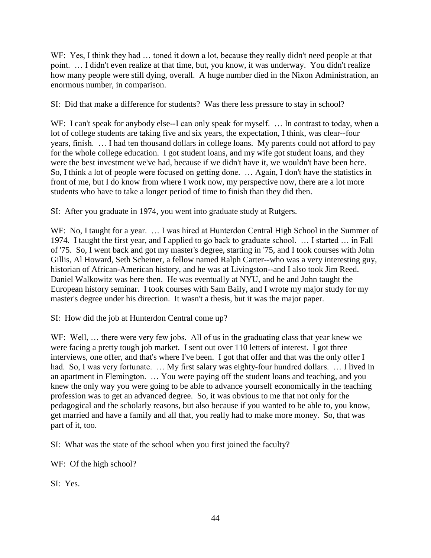WF: Yes, I think they had ... toned it down a lot, because they really didn't need people at that point. … I didn't even realize at that time, but, you know, it was underway. You didn't realize how many people were still dying, overall. A huge number died in the Nixon Administration, an enormous number, in comparison.

SI: Did that make a difference for students? Was there less pressure to stay in school?

WF: I can't speak for anybody else--I can only speak for myself. ... In contrast to today, when a lot of college students are taking five and six years, the expectation, I think, was clear--four years, finish. … I had ten thousand dollars in college loans. My parents could not afford to pay for the whole college education. I got student loans, and my wife got student loans, and they were the best investment we've had, because if we didn't have it, we wouldn't have been here. So, I think a lot of people were focused on getting done. … Again, I don't have the statistics in front of me, but I do know from where I work now, my perspective now, there are a lot more students who have to take a longer period of time to finish than they did then.

SI: After you graduate in 1974, you went into graduate study at Rutgers.

WF: No, I taught for a year. … I was hired at Hunterdon Central High School in the Summer of 1974. I taught the first year, and I applied to go back to graduate school. … I started … in Fall of '75. So, I went back and got my master's degree, starting in '75, and I took courses with John Gillis, Al Howard, Seth Scheiner, a fellow named Ralph Carter--who was a very interesting guy, historian of African-American history, and he was at Livingston--and I also took Jim Reed. Daniel Walkowitz was here then. He was eventually at NYU, and he and John taught the European history seminar. I took courses with Sam Baily, and I wrote my major study for my master's degree under his direction. It wasn't a thesis, but it was the major paper.

SI: How did the job at Hunterdon Central come up?

WF: Well, ... there were very few jobs. All of us in the graduating class that year knew we were facing a pretty tough job market. I sent out over 110 letters of interest. I got three interviews, one offer, and that's where I've been. I got that offer and that was the only offer I had. So, I was very fortunate. ... My first salary was eighty-four hundred dollars. ... I lived in an apartment in Flemington. … You were paying off the student loans and teaching, and you knew the only way you were going to be able to advance yourself economically in the teaching profession was to get an advanced degree. So, it was obvious to me that not only for the pedagogical and the scholarly reasons, but also because if you wanted to be able to, you know, get married and have a family and all that, you really had to make more money. So, that was part of it, too.

SI: What was the state of the school when you first joined the faculty?

WF: Of the high school?

SI: Yes.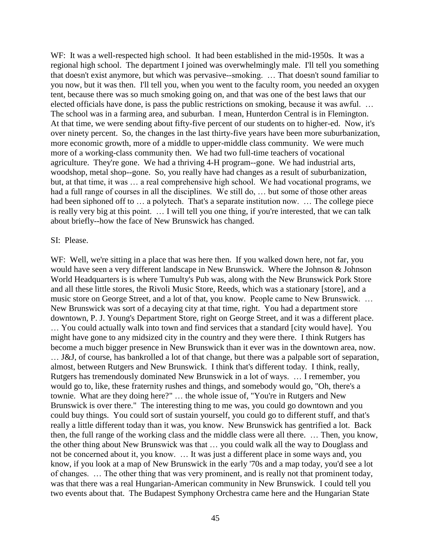WF: It was a well-respected high school. It had been established in the mid-1950s. It was a regional high school. The department I joined was overwhelmingly male. I'll tell you something that doesn't exist anymore, but which was pervasive--smoking. … That doesn't sound familiar to you now, but it was then. I'll tell you, when you went to the faculty room, you needed an oxygen tent, because there was so much smoking going on, and that was one of the best laws that our elected officials have done, is pass the public restrictions on smoking, because it was awful. … The school was in a farming area, and suburban. I mean, Hunterdon Central is in Flemington. At that time, we were sending about fifty-five percent of our students on to higher-ed. Now, it's over ninety percent. So, the changes in the last thirty-five years have been more suburbanization, more economic growth, more of a middle to upper-middle class community. We were much more of a working-class community then. We had two full-time teachers of vocational agriculture. They're gone. We had a thriving 4-H program--gone. We had industrial arts, woodshop, metal shop--gone. So, you really have had changes as a result of suburbanization, but, at that time, it was … a real comprehensive high school. We had vocational programs, we had a full range of courses in all the disciplines. We still do, ... but some of those other areas had been siphoned off to … a polytech. That's a separate institution now. … The college piece is really very big at this point. … I will tell you one thing, if you're interested, that we can talk about briefly--how the face of New Brunswick has changed.

#### SI: Please.

WF: Well, we're sitting in a place that was here then. If you walked down here, not far, you would have seen a very different landscape in New Brunswick. Where the Johnson & Johnson World Headquarters is is where Tumulty's Pub was, along with the New Brunswick Pork Store and all these little stores, the Rivoli Music Store, Reeds, which was a stationary [store], and a music store on George Street, and a lot of that, you know. People came to New Brunswick. … New Brunswick was sort of a decaying city at that time, right. You had a department store downtown, P. J. Young's Department Store, right on George Street, and it was a different place. … You could actually walk into town and find services that a standard [city would have]. You might have gone to any midsized city in the country and they were there. I think Rutgers has become a much bigger presence in New Brunswick than it ever was in the downtown area, now. … J&J, of course, has bankrolled a lot of that change, but there was a palpable sort of separation, almost, between Rutgers and New Brunswick. I think that's different today. I think, really, Rutgers has tremendously dominated New Brunswick in a lot of ways. … I remember, you would go to, like, these fraternity rushes and things, and somebody would go, "Oh, there's a townie. What are they doing here?" … the whole issue of, "You're in Rutgers and New Brunswick is over there." The interesting thing to me was, you could go downtown and you could buy things. You could sort of sustain yourself, you could go to different stuff, and that's really a little different today than it was, you know. New Brunswick has gentrified a lot. Back then, the full range of the working class and the middle class were all there. … Then, you know, the other thing about New Brunswick was that … you could walk all the way to Douglass and not be concerned about it, you know. … It was just a different place in some ways and, you know, if you look at a map of New Brunswick in the early '70s and a map today, you'd see a lot of changes. … The other thing that was very prominent, and is really not that prominent today, was that there was a real Hungarian-American community in New Brunswick. I could tell you two events about that. The Budapest Symphony Orchestra came here and the Hungarian State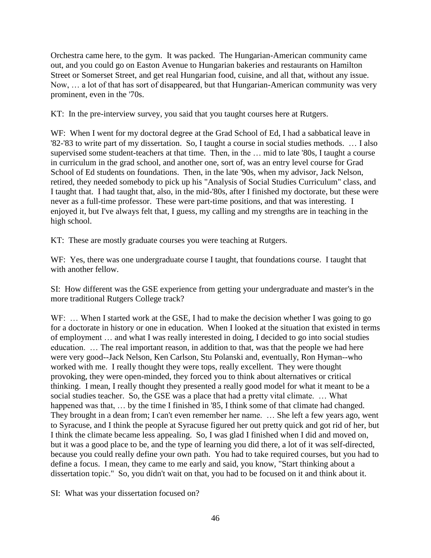Orchestra came here, to the gym. It was packed. The Hungarian-American community came out, and you could go on Easton Avenue to Hungarian bakeries and restaurants on Hamilton Street or Somerset Street, and get real Hungarian food, cuisine, and all that, without any issue. Now, … a lot of that has sort of disappeared, but that Hungarian-American community was very prominent, even in the '70s.

KT: In the pre-interview survey, you said that you taught courses here at Rutgers.

WF: When I went for my doctoral degree at the Grad School of Ed, I had a sabbatical leave in '82-'83 to write part of my dissertation. So, I taught a course in social studies methods. … I also supervised some student-teachers at that time. Then, in the … mid to late '80s, I taught a course in curriculum in the grad school, and another one, sort of, was an entry level course for Grad School of Ed students on foundations. Then, in the late '90s, when my advisor, Jack Nelson, retired, they needed somebody to pick up his "Analysis of Social Studies Curriculum" class, and I taught that. I had taught that, also, in the mid-'80s, after I finished my doctorate, but these were never as a full-time professor. These were part-time positions, and that was interesting. I enjoyed it, but I've always felt that, I guess, my calling and my strengths are in teaching in the high school.

KT: These are mostly graduate courses you were teaching at Rutgers.

WF: Yes, there was one undergraduate course I taught, that foundations course. I taught that with another fellow.

SI: How different was the GSE experience from getting your undergraduate and master's in the more traditional Rutgers College track?

WF: ... When I started work at the GSE, I had to make the decision whether I was going to go for a doctorate in history or one in education. When I looked at the situation that existed in terms of employment … and what I was really interested in doing, I decided to go into social studies education. … The real important reason, in addition to that, was that the people we had here were very good--Jack Nelson, Ken Carlson, Stu Polanski and, eventually, Ron Hyman--who worked with me. I really thought they were tops, really excellent. They were thought provoking, they were open-minded, they forced you to think about alternatives or critical thinking. I mean, I really thought they presented a really good model for what it meant to be a social studies teacher. So, the GSE was a place that had a pretty vital climate. … What happened was that, ... by the time I finished in '85, I think some of that climate had changed. They brought in a dean from; I can't even remember her name. … She left a few years ago, went to Syracuse, and I think the people at Syracuse figured her out pretty quick and got rid of her, but I think the climate became less appealing. So, I was glad I finished when I did and moved on, but it was a good place to be, and the type of learning you did there, a lot of it was self-directed, because you could really define your own path. You had to take required courses, but you had to define a focus. I mean, they came to me early and said, you know, "Start thinking about a dissertation topic." So, you didn't wait on that, you had to be focused on it and think about it.

SI: What was your dissertation focused on?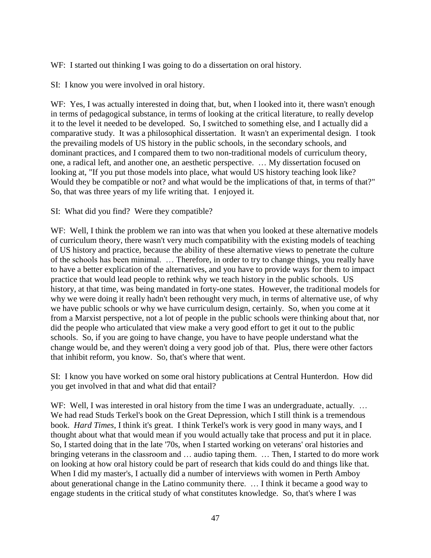WF: I started out thinking I was going to do a dissertation on oral history.

SI: I know you were involved in oral history.

WF: Yes, I was actually interested in doing that, but, when I looked into it, there wasn't enough in terms of pedagogical substance, in terms of looking at the critical literature, to really develop it to the level it needed to be developed. So, I switched to something else, and I actually did a comparative study. It was a philosophical dissertation. It wasn't an experimental design. I took the prevailing models of US history in the public schools, in the secondary schools, and dominant practices, and I compared them to two non-traditional models of curriculum theory, one, a radical left, and another one, an aesthetic perspective. … My dissertation focused on looking at, "If you put those models into place, what would US history teaching look like? Would they be compatible or not? and what would be the implications of that, in terms of that?" So, that was three years of my life writing that. I enjoyed it.

## SI: What did you find? Were they compatible?

WF: Well, I think the problem we ran into was that when you looked at these alternative models of curriculum theory, there wasn't very much compatibility with the existing models of teaching of US history and practice, because the ability of these alternative views to penetrate the culture of the schools has been minimal. … Therefore, in order to try to change things, you really have to have a better explication of the alternatives, and you have to provide ways for them to impact practice that would lead people to rethink why we teach history in the public schools. US history, at that time, was being mandated in forty-one states. However, the traditional models for why we were doing it really hadn't been rethought very much, in terms of alternative use, of why we have public schools or why we have curriculum design, certainly. So, when you come at it from a Marxist perspective, not a lot of people in the public schools were thinking about that, nor did the people who articulated that view make a very good effort to get it out to the public schools. So, if you are going to have change, you have to have people understand what the change would be, and they weren't doing a very good job of that. Plus, there were other factors that inhibit reform, you know. So, that's where that went.

SI: I know you have worked on some oral history publications at Central Hunterdon. How did you get involved in that and what did that entail?

WF: Well, I was interested in oral history from the time I was an undergraduate, actually. ... We had read Studs Terkel's book on the Great Depression, which I still think is a tremendous book. *Hard Times*, I think it's great. I think Terkel's work is very good in many ways, and I thought about what that would mean if you would actually take that process and put it in place. So, I started doing that in the late '70s, when I started working on veterans' oral histories and bringing veterans in the classroom and … audio taping them. … Then, I started to do more work on looking at how oral history could be part of research that kids could do and things like that. When I did my master's, I actually did a number of interviews with women in Perth Amboy about generational change in the Latino community there. … I think it became a good way to engage students in the critical study of what constitutes knowledge. So, that's where I was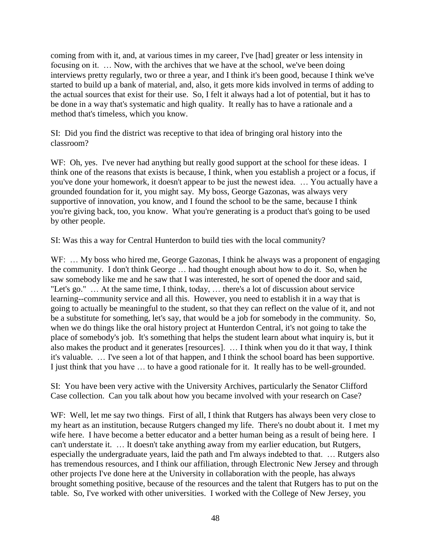coming from with it, and, at various times in my career, I've [had] greater or less intensity in focusing on it. … Now, with the archives that we have at the school, we've been doing interviews pretty regularly, two or three a year, and I think it's been good, because I think we've started to build up a bank of material, and, also, it gets more kids involved in terms of adding to the actual sources that exist for their use. So, I felt it always had a lot of potential, but it has to be done in a way that's systematic and high quality. It really has to have a rationale and a method that's timeless, which you know.

SI: Did you find the district was receptive to that idea of bringing oral history into the classroom?

WF: Oh, yes. I've never had anything but really good support at the school for these ideas. I think one of the reasons that exists is because, I think, when you establish a project or a focus, if you've done your homework, it doesn't appear to be just the newest idea. … You actually have a grounded foundation for it, you might say. My boss, George Gazonas, was always very supportive of innovation, you know, and I found the school to be the same, because I think you're giving back, too, you know. What you're generating is a product that's going to be used by other people.

SI: Was this a way for Central Hunterdon to build ties with the local community?

WF: ... My boss who hired me, George Gazonas, I think he always was a proponent of engaging the community. I don't think George … had thought enough about how to do it. So, when he saw somebody like me and he saw that I was interested, he sort of opened the door and said, "Let's go." … At the same time, I think, today, … there's a lot of discussion about service learning--community service and all this. However, you need to establish it in a way that is going to actually be meaningful to the student, so that they can reflect on the value of it, and not be a substitute for something, let's say, that would be a job for somebody in the community. So, when we do things like the oral history project at Hunterdon Central, it's not going to take the place of somebody's job. It's something that helps the student learn about what inquiry is, but it also makes the product and it generates [resources]. … I think when you do it that way, I think it's valuable. … I've seen a lot of that happen, and I think the school board has been supportive. I just think that you have … to have a good rationale for it. It really has to be well-grounded.

SI: You have been very active with the University Archives, particularly the Senator Clifford Case collection. Can you talk about how you became involved with your research on Case?

WF: Well, let me say two things. First of all, I think that Rutgers has always been very close to my heart as an institution, because Rutgers changed my life. There's no doubt about it. I met my wife here. I have become a better educator and a better human being as a result of being here. I can't understate it. … It doesn't take anything away from my earlier education, but Rutgers, especially the undergraduate years, laid the path and I'm always indebted to that. … Rutgers also has tremendous resources, and I think our affiliation, through Electronic New Jersey and through other projects I've done here at the University in collaboration with the people, has always brought something positive, because of the resources and the talent that Rutgers has to put on the table. So, I've worked with other universities. I worked with the College of New Jersey, you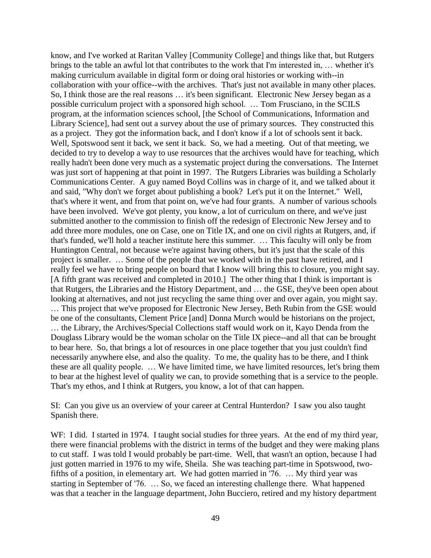know, and I've worked at Raritan Valley [Community College] and things like that, but Rutgers brings to the table an awful lot that contributes to the work that I'm interested in, … whether it's making curriculum available in digital form or doing oral histories or working with--in collaboration with your office--with the archives. That's just not available in many other places. So, I think those are the real reasons … it's been significant. Electronic New Jersey began as a possible curriculum project with a sponsored high school. … Tom Frusciano, in the SCILS program, at the information sciences school, [the School of Communications, Information and Library Science], had sent out a survey about the use of primary sources. They constructed this as a project. They got the information back, and I don't know if a lot of schools sent it back. Well, Spotswood sent it back, we sent it back. So, we had a meeting. Out of that meeting, we decided to try to develop a way to use resources that the archives would have for teaching, which really hadn't been done very much as a systematic project during the conversations. The Internet was just sort of happening at that point in 1997. The Rutgers Libraries was building a Scholarly Communications Center. A guy named Boyd Collins was in charge of it, and we talked about it and said, "Why don't we forget about publishing a book? Let's put it on the Internet." Well, that's where it went, and from that point on, we've had four grants. A number of various schools have been involved. We've got plenty, you know, a lot of curriculum on there, and we've just submitted another to the commission to finish off the redesign of Electronic New Jersey and to add three more modules, one on Case, one on Title IX, and one on civil rights at Rutgers, and, if that's funded, we'll hold a teacher institute here this summer. … This faculty will only be from Huntington Central, not because we're against having others, but it's just that the scale of this project is smaller. … Some of the people that we worked with in the past have retired, and I really feel we have to bring people on board that I know will bring this to closure, you might say. [A fifth grant was received and completed in 2010.] The other thing that I think is important is that Rutgers, the Libraries and the History Department, and … the GSE, they've been open about looking at alternatives, and not just recycling the same thing over and over again, you might say. … This project that we've proposed for Electronic New Jersey, Beth Rubin from the GSE would be one of the consultants, Clement Price [and] Donna Murch would be historians on the project, … the Library, the Archives/Special Collections staff would work on it, Kayo Denda from the Douglass Library would be the woman scholar on the Title IX piece--and all that can be brought to bear here. So, that brings a lot of resources in one place together that you just couldn't find necessarily anywhere else, and also the quality. To me, the quality has to be there, and I think these are all quality people. … We have limited time, we have limited resources, let's bring them to bear at the highest level of quality we can, to provide something that is a service to the people. That's my ethos, and I think at Rutgers, you know, a lot of that can happen.

SI: Can you give us an overview of your career at Central Hunterdon? I saw you also taught Spanish there.

WF: I did. I started in 1974. I taught social studies for three years. At the end of my third year, there were financial problems with the district in terms of the budget and they were making plans to cut staff. I was told I would probably be part-time. Well, that wasn't an option, because I had just gotten married in 1976 to my wife, Sheila. She was teaching part-time in Spotswood, twofifths of a position, in elementary art. We had gotten married in '76. … My third year was starting in September of '76. … So, we faced an interesting challenge there. What happened was that a teacher in the language department, John Bucciero, retired and my history department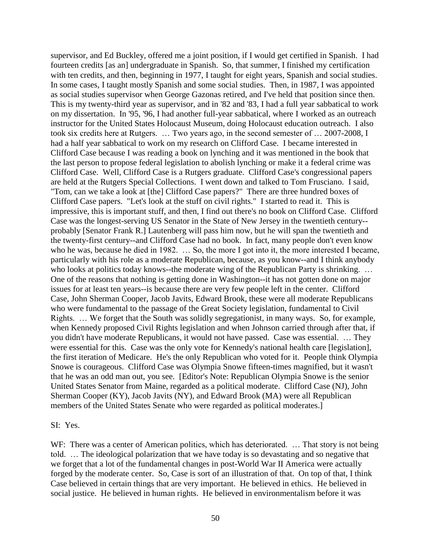supervisor, and Ed Buckley, offered me a joint position, if I would get certified in Spanish. I had fourteen credits [as an] undergraduate in Spanish. So, that summer, I finished my certification with ten credits, and then, beginning in 1977, I taught for eight years, Spanish and social studies. In some cases, I taught mostly Spanish and some social studies. Then, in 1987, I was appointed as social studies supervisor when George Gazonas retired, and I've held that position since then. This is my twenty-third year as supervisor, and in '82 and '83, I had a full year sabbatical to work on my dissertation. In '95, '96, I had another full-year sabbatical, where I worked as an outreach instructor for the United States Holocaust Museum, doing Holocaust education outreach. I also took six credits here at Rutgers. … Two years ago, in the second semester of … 2007-2008, I had a half year sabbatical to work on my research on Clifford Case. I became interested in Clifford Case because I was reading a book on lynching and it was mentioned in the book that the last person to propose federal legislation to abolish lynching or make it a federal crime was Clifford Case. Well, Clifford Case is a Rutgers graduate. Clifford Case's congressional papers are held at the Rutgers Special Collections. I went down and talked to Tom Frusciano. I said, "Tom, can we take a look at [the] Clifford Case papers?" There are three hundred boxes of Clifford Case papers. "Let's look at the stuff on civil rights." I started to read it. This is impressive, this is important stuff, and then, I find out there's no book on Clifford Case. Clifford Case was the longest-serving US Senator in the State of New Jersey in the twentieth century- probably [Senator Frank R.] Lautenberg will pass him now, but he will span the twentieth and the twenty-first century--and Clifford Case had no book. In fact, many people don't even know who he was, because he died in 1982. ... So, the more I got into it, the more interested I became, particularly with his role as a moderate Republican, because, as you know--and I think anybody who looks at politics today knows--the moderate wing of the Republican Party is shrinking. ... One of the reasons that nothing is getting done in Washington--it has not gotten done on major issues for at least ten years--is because there are very few people left in the center. Clifford Case, John Sherman Cooper, Jacob Javits, Edward Brook, these were all moderate Republicans who were fundamental to the passage of the Great Society legislation, fundamental to Civil Rights. … We forget that the South was solidly segregationist, in many ways. So, for example, when Kennedy proposed Civil Rights legislation and when Johnson carried through after that, if you didn't have moderate Republicans, it would not have passed. Case was essential. … They were essential for this. Case was the only vote for Kennedy's national health care [legislation], the first iteration of Medicare. He's the only Republican who voted for it. People think Olympia Snowe is courageous. Clifford Case was Olympia Snowe fifteen-times magnified, but it wasn't that he was an odd man out, you see. [Editor's Note: Republican Olympia Snowe is the senior United States Senator from Maine, regarded as a political moderate. Clifford Case (NJ), John Sherman Cooper (KY), Jacob Javits (NY), and Edward Brook (MA) were all Republican members of the United States Senate who were regarded as political moderates.]

#### SI: Yes.

WF: There was a center of American politics, which has deteriorated. ... That story is not being told. … The ideological polarization that we have today is so devastating and so negative that we forget that a lot of the fundamental changes in post-World War II America were actually forged by the moderate center. So, Case is sort of an illustration of that. On top of that, I think Case believed in certain things that are very important. He believed in ethics. He believed in social justice. He believed in human rights. He believed in environmentalism before it was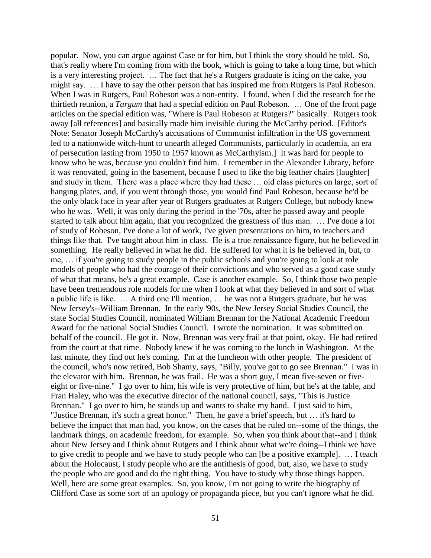popular. Now, you can argue against Case or for him, but I think the story should be told. So, that's really where I'm coming from with the book, which is going to take a long time, but which is a very interesting project. … The fact that he's a Rutgers graduate is icing on the cake, you might say. … I have to say the other person that has inspired me from Rutgers is Paul Robeson. When I was in Rutgers, Paul Robeson was a non-entity. I found, when I did the research for the thirtieth reunion, a *Targum* that had a special edition on Paul Robeson. … One of the front page articles on the special edition was, "Where is Paul Robeson at Rutgers?" basically. Rutgers took away [all references] and basically made him invisible during the McCarthy period. [Editor's Note: Senator Joseph McCarthy's accusations of Communist infiltration in the US government led to a nationwide witch-hunt to unearth alleged Communists, particularly in academia, an era of persecution lasting from 1950 to 1957 known as McCarthyism.] It was hard for people to know who he was, because you couldn't find him. I remember in the Alexander Library, before it was renovated, going in the basement, because I used to like the big leather chairs [laughter] and study in them. There was a place where they had these … old class pictures on large, sort of hanging plates, and, if you went through those, you would find Paul Robeson, because he'd be the only black face in year after year of Rutgers graduates at Rutgers College, but nobody knew who he was. Well, it was only during the period in the '70s, after he passed away and people started to talk about him again, that you recognized the greatness of this man. … I've done a lot of study of Robeson, I've done a lot of work, I've given presentations on him, to teachers and things like that. I've taught about him in class. He is a true renaissance figure, but he believed in something. He really believed in what he did. He suffered for what it is he believed in, but, to me, … if you're going to study people in the public schools and you're going to look at role models of people who had the courage of their convictions and who served as a good case study of what that means, he's a great example. Case is another example. So, I think those two people have been tremendous role models for me when I look at what they believed in and sort of what a public life is like. … A third one I'll mention, … he was not a Rutgers graduate, but he was New Jersey's--William Brennan. In the early '90s, the New Jersey Social Studies Council, the state Social Studies Council, nominated William Brennan for the National Academic Freedom Award for the national Social Studies Council. I wrote the nomination. It was submitted on behalf of the council. He got it. Now, Brennan was very frail at that point, okay. He had retired from the court at that time. Nobody knew if he was coming to the lunch in Washington. At the last minute, they find out he's coming. I'm at the luncheon with other people. The president of the council, who's now retired, Bob Shamy, says, "Billy, you've got to go see Brennan." I was in the elevator with him. Brennan, he was frail. He was a short guy, I mean five-seven or fiveeight or five-nine." I go over to him, his wife is very protective of him, but he's at the table, and Fran Haley, who was the executive director of the national council, says, "This is Justice Brennan." I go over to him, he stands up and wants to shake my hand. I just said to him, "Justice Brennan, it's such a great honor." Then, he gave a brief speech, but … it's hard to believe the impact that man had, you know, on the cases that he ruled on--some of the things, the landmark things, on academic freedom, for example. So, when you think about that--and I think about New Jersey and I think about Rutgers and I think about what we're doing--I think we have to give credit to people and we have to study people who can [be a positive example]. … I teach about the Holocaust, I study people who are the antithesis of good, but, also, we have to study the people who are good and do the right thing. You have to study why those things happen. Well, here are some great examples. So, you know, I'm not going to write the biography of Clifford Case as some sort of an apology or propaganda piece, but you can't ignore what he did.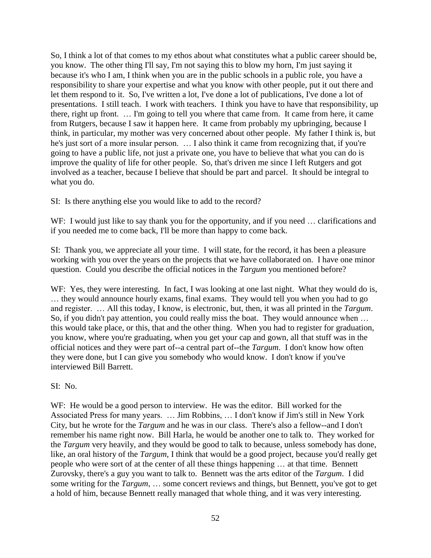So, I think a lot of that comes to my ethos about what constitutes what a public career should be, you know. The other thing I'll say, I'm not saying this to blow my horn, I'm just saying it because it's who I am, I think when you are in the public schools in a public role, you have a responsibility to share your expertise and what you know with other people, put it out there and let them respond to it. So, I've written a lot, I've done a lot of publications, I've done a lot of presentations. I still teach. I work with teachers. I think you have to have that responsibility, up there, right up front. … I'm going to tell you where that came from. It came from here, it came from Rutgers, because I saw it happen here. It came from probably my upbringing, because I think, in particular, my mother was very concerned about other people. My father I think is, but he's just sort of a more insular person. … I also think it came from recognizing that, if you're going to have a public life, not just a private one, you have to believe that what you can do is improve the quality of life for other people. So, that's driven me since I left Rutgers and got involved as a teacher, because I believe that should be part and parcel. It should be integral to what you do.

SI: Is there anything else you would like to add to the record?

WF: I would just like to say thank you for the opportunity, and if you need ... clarifications and if you needed me to come back, I'll be more than happy to come back.

SI: Thank you, we appreciate all your time. I will state, for the record, it has been a pleasure working with you over the years on the projects that we have collaborated on. I have one minor question. Could you describe the official notices in the *Targum* you mentioned before?

WF: Yes, they were interesting. In fact, I was looking at one last night. What they would do is, … they would announce hourly exams, final exams. They would tell you when you had to go and register. … All this today, I know, is electronic, but, then, it was all printed in the *Targum*. So, if you didn't pay attention, you could really miss the boat. They would announce when … this would take place, or this, that and the other thing. When you had to register for graduation, you know, where you're graduating, when you get your cap and gown, all that stuff was in the official notices and they were part of--a central part of--the *Targum*. I don't know how often they were done, but I can give you somebody who would know. I don't know if you've interviewed Bill Barrett.

SI: No.

WF: He would be a good person to interview. He was the editor. Bill worked for the Associated Press for many years. … Jim Robbins, … I don't know if Jim's still in New York City, but he wrote for the *Targum* and he was in our class. There's also a fellow--and I don't remember his name right now. Bill Harla, he would be another one to talk to. They worked for the *Targum* very heavily, and they would be good to talk to because, unless somebody has done, like, an oral history of the *Targum*, I think that would be a good project, because you'd really get people who were sort of at the center of all these things happening … at that time. Bennett Zurovsky, there's a guy you want to talk to. Bennett was the arts editor of the *Targum*. I did some writing for the *Targum*, … some concert reviews and things, but Bennett, you've got to get a hold of him, because Bennett really managed that whole thing, and it was very interesting.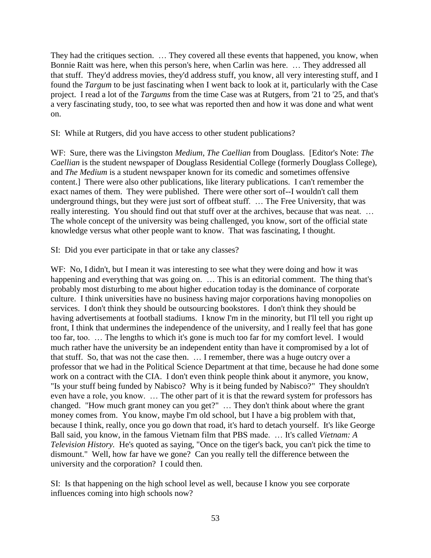They had the critiques section. … They covered all these events that happened, you know, when Bonnie Raitt was here, when this person's here, when Carlin was here. … They addressed all that stuff. They'd address movies, they'd address stuff, you know, all very interesting stuff, and I found the *Targum* to be just fascinating when I went back to look at it, particularly with the Case project. I read a lot of the *Targums* from the time Case was at Rutgers, from '21 to '25, and that's a very fascinating study, too, to see what was reported then and how it was done and what went on.

SI: While at Rutgers, did you have access to other student publications?

WF: Sure, there was the Livingston *Medium*, *The Caellian* from Douglass. [Editor's Note: *The Caellian* is the student newspaper of Douglass Residential College (formerly Douglass College), and *The Medium* is a student newspaper known for its comedic and sometimes offensive content.] There were also other publications, like literary publications. I can't remember the exact names of them. They were published. There were other sort of--I wouldn't call them underground things, but they were just sort of offbeat stuff. … The Free University, that was really interesting. You should find out that stuff over at the archives, because that was neat. … The whole concept of the university was being challenged, you know, sort of the official state knowledge versus what other people want to know. That was fascinating, I thought.

SI: Did you ever participate in that or take any classes?

WF: No, I didn't, but I mean it was interesting to see what they were doing and how it was happening and everything that was going on. ... This is an editorial comment. The thing that's probably most disturbing to me about higher education today is the dominance of corporate culture. I think universities have no business having major corporations having monopolies on services. I don't think they should be outsourcing bookstores. I don't think they should be having advertisements at football stadiums. I know I'm in the minority, but I'll tell you right up front, I think that undermines the independence of the university, and I really feel that has gone too far, too. … The lengths to which it's gone is much too far for my comfort level. I would much rather have the university be an independent entity than have it compromised by a lot of that stuff. So, that was not the case then. … I remember, there was a huge outcry over a professor that we had in the Political Science Department at that time, because he had done some work on a contract with the CIA. I don't even think people think about it anymore, you know, "Is your stuff being funded by Nabisco? Why is it being funded by Nabisco?" They shouldn't even have a role, you know. … The other part of it is that the reward system for professors has changed. "How much grant money can you get?" … They don't think about where the grant money comes from. You know, maybe I'm old school, but I have a big problem with that, because I think, really, once you go down that road, it's hard to detach yourself. It's like George Ball said, you know, in the famous Vietnam film that PBS made. … It's called *Vietnam: A Television History.* He's quoted as saying, "Once on the tiger's back, you can't pick the time to dismount." Well, how far have we gone? Can you really tell the difference between the university and the corporation? I could then.

SI: Is that happening on the high school level as well, because I know you see corporate influences coming into high schools now?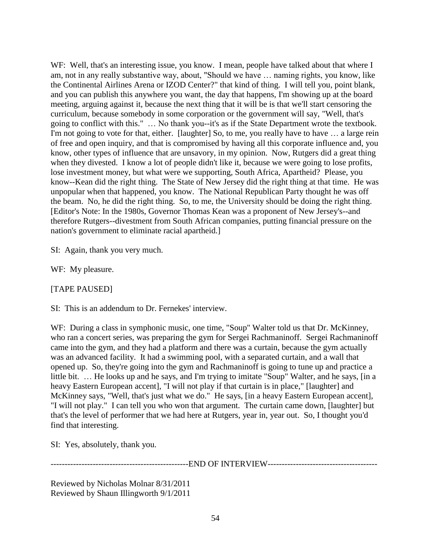WF: Well, that's an interesting issue, you know. I mean, people have talked about that where I am, not in any really substantive way, about, "Should we have … naming rights, you know, like the Continental Airlines Arena or IZOD Center?" that kind of thing. I will tell you, point blank, and you can publish this anywhere you want, the day that happens, I'm showing up at the board meeting, arguing against it, because the next thing that it will be is that we'll start censoring the curriculum, because somebody in some corporation or the government will say, "Well, that's going to conflict with this." … No thank you--it's as if the State Department wrote the textbook. I'm not going to vote for that, either. [laughter] So, to me, you really have to have ... a large rein of free and open inquiry, and that is compromised by having all this corporate influence and, you know, other types of influence that are unsavory, in my opinion. Now, Rutgers did a great thing when they divested. I know a lot of people didn't like it, because we were going to lose profits, lose investment money, but what were we supporting, South Africa, Apartheid? Please, you know--Kean did the right thing. The State of New Jersey did the right thing at that time. He was unpopular when that happened, you know. The National Republican Party thought he was off the beam. No, he did the right thing. So, to me, the University should be doing the right thing. [Editor's Note: In the 1980s, Governor Thomas Kean was a proponent of New Jersey's--and therefore Rutgers--divestment from South African companies, putting financial pressure on the nation's government to eliminate racial apartheid.]

SI: Again, thank you very much.

WF: My pleasure.

[TAPE PAUSED]

SI: This is an addendum to Dr. Fernekes' interview.

WF: During a class in symphonic music, one time, "Soup" Walter told us that Dr. McKinney, who ran a concert series, was preparing the gym for Sergei Rachmaninoff. Sergei Rachmaninoff came into the gym, and they had a platform and there was a curtain, because the gym actually was an advanced facility. It had a swimming pool, with a separated curtain, and a wall that opened up. So, they're going into the gym and Rachmaninoff is going to tune up and practice a little bit. … He looks up and he says, and I'm trying to imitate "Soup" Walter, and he says, [in a heavy Eastern European accent], "I will not play if that curtain is in place," [laughter] and McKinney says, "Well, that's just what we do." He says, [in a heavy Eastern European accent], "I will not play." I can tell you who won that argument. The curtain came down, [laughter] but that's the level of performer that we had here at Rutgers, year in, year out. So, I thought you'd find that interesting.

SI: Yes, absolutely, thank you.

-------------------------------------------------END OF INTERVIEW---------------------------------------

Reviewed by Nicholas Molnar 8/31/2011 Reviewed by Shaun Illingworth 9/1/2011